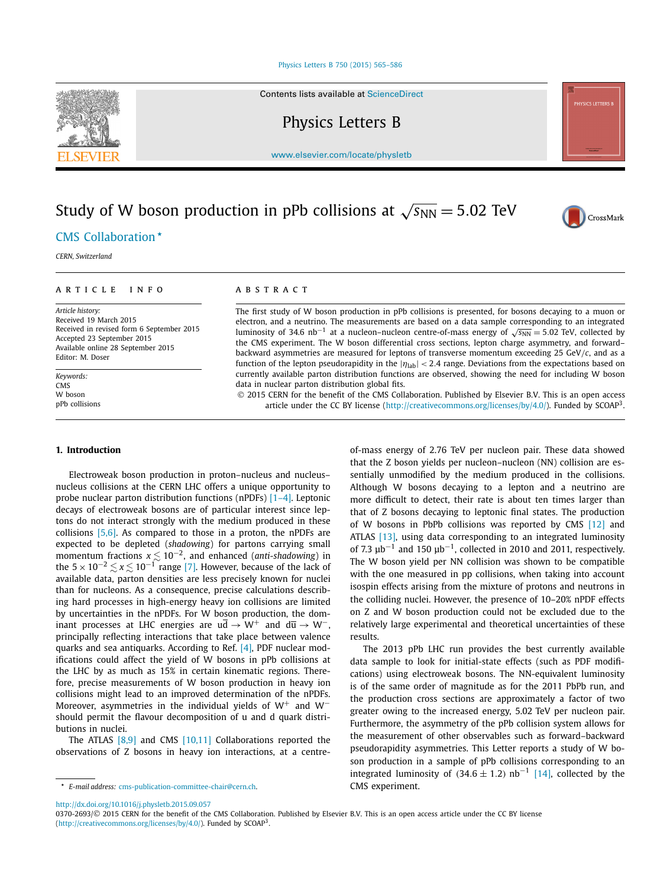#### [Physics Letters B 750 \(2015\) 565–586](http://dx.doi.org/10.1016/j.physletb.2015.09.057)

Contents lists available at [ScienceDirect](http://www.ScienceDirect.com/)

Physics Letters B

[www.elsevier.com/locate/physletb](http://www.elsevier.com/locate/physletb)

# Study of W boson production in pPb collisions at  $\sqrt{s_{NN}} = 5.02$  TeV



*CERN, Switzerland*

#### A R T I C L E I N F O A B S T R A C T

*Article history:* Received 19 March 2015 Received in revised form 6 September 2015 Accepted 23 September 2015 Available online 28 September 2015 Editor: M. Doser

*Keywords:* CMS W boson pPb collisions

**1. Introduction**

Electroweak boson production in proton–nucleus and nucleus– nucleus collisions at the CERN LHC offers a unique opportunity to probe nuclear parton distribution functions (nPDFs) [\[1–4\].](#page-6-0) Leptonic decays of electroweak bosons are of particular interest since leptons do not interact strongly with the medium produced in these collisions [\[5,6\].](#page-6-0) As compared to those in a proton, the nPDFs are expected to be depleted (*shadowing*) for partons carrying small momentum fractions  $x \lesssim 10^{-2}$ , and enhanced (*anti-shadowing*) in the  $5 \times 10^{-2} \lesssim x \lesssim 10^{-1}$  range [\[7\].](#page-6-0) However, because of the lack of available data, parton densities are less precisely known for nuclei than for nucleons. As a consequence, precise calculations describing hard processes in high-energy heavy ion collisions are limited by uncertainties in the nPDFs. For W boson production, the dominant processes at LHC energies are  $u\overline{d} \rightarrow W^+$  and  $d\overline{u} \rightarrow W^-$ , principally reflecting interactions that take place between valence quarks and sea antiquarks. According to Ref. [\[4\],](#page-6-0) PDF nuclear modifications could affect the yield of W bosons in pPb collisions at the LHC by as much as 15% in certain kinematic regions. Therefore, precise measurements of W boson production in heavy ion collisions might lead to an improved determination of the nPDFs. Moreover, asymmetries in the individual yields of W<sup>+</sup> and W<sup>-</sup> should permit the flavour decomposition of u and d quark distributions in nuclei.

The ATLAS  $[8,9]$  and CMS  $[10,11]$  Collaborations reported the observations of Z bosons in heavy ion interactions, at a centre-

The first study of W boson production in pPb collisions is presented, for bosons decaying to a muon or electron, and a neutrino. The measurements are based on a data sample corresponding to an integrated luminosity of 34.6 nb<sup>-1</sup> at a nucleon–nucleon centre-of-mass energy of  $\sqrt{s_{NN}}$  = 5.02 TeV, collected by the CMS experiment. The W boson differential cross sections, lepton charge asymmetry, and forward– backward asymmetries are measured for leptons of transverse momentum exceeding 25 GeV*/c*, and as a function of the lepton pseudorapidity in the |*η*lab| *<* <sup>2</sup>*.*4 range. Deviations from the expectations based on currently available parton distribution functions are observed, showing the need for including W boson data in nuclear parton distribution global fits.

© 2015 CERN for the benefit of the CMS Collaboration. Published by Elsevier B.V. This is an open access article under the CC BY license [\(http://creativecommons.org/licenses/by/4.0/\)](http://creativecommons.org/licenses/by/4.0/). Funded by SCOAP<sup>3</sup>.

> of-mass energy of 2.76 TeV per nucleon pair. These data showed that the Z boson yields per nucleon–nucleon (NN) collision are essentially unmodified by the medium produced in the collisions. Although W bosons decaying to a lepton and a neutrino are more difficult to detect, their rate is about ten times larger than that of Z bosons decaying to leptonic final states. The production of W bosons in PbPb collisions was reported by CMS [\[12\]](#page-6-0) and ATLAS [\[13\],](#page-6-0) using data corresponding to an integrated luminosity of 7.3  $\mu$ b<sup>-1</sup> and 150  $\mu$ b<sup>-1</sup>, collected in 2010 and 2011, respectively. The W boson yield per NN collision was shown to be compatible with the one measured in pp collisions, when taking into account isospin effects arising from the mixture of protons and neutrons in the colliding nuclei. However, the presence of 10–20% nPDF effects on Z and W boson production could not be excluded due to the relatively large experimental and theoretical uncertainties of these results.

> The 2013 pPb LHC run provides the best currently available data sample to look for initial-state effects (such as PDF modifications) using electroweak bosons. The NN-equivalent luminosity is of the same order of magnitude as for the 2011 PbPb run, and the production cross sections are approximately a factor of two greater owing to the increased energy, 5.02 TeV per nucleon pair. Furthermore, the asymmetry of the pPb collision system allows for the measurement of other observables such as forward–backward pseudorapidity asymmetries. This Letter reports a study of W boson production in a sample of pPb collisions corresponding to an integrated luminosity of  $(34.6 \pm 1.2)$  nb<sup>-1</sup> [\[14\],](#page-6-0) collected by the CMS experiment.

<http://dx.doi.org/10.1016/j.physletb.2015.09.057>





*<sup>-</sup> E-mail address:* [cms-publication-committee-chair@cern.ch](mailto:cms-publication-committee-chair@cern.ch).

<sup>0370-2693/© 2015</sup> CERN for the benefit of the CMS Collaboration. Published by Elsevier B.V. This is an open access article under the CC BY license [\(http://creativecommons.org/licenses/by/4.0/\)](http://creativecommons.org/licenses/by/4.0/). Funded by SCOAP<sup>3</sup>.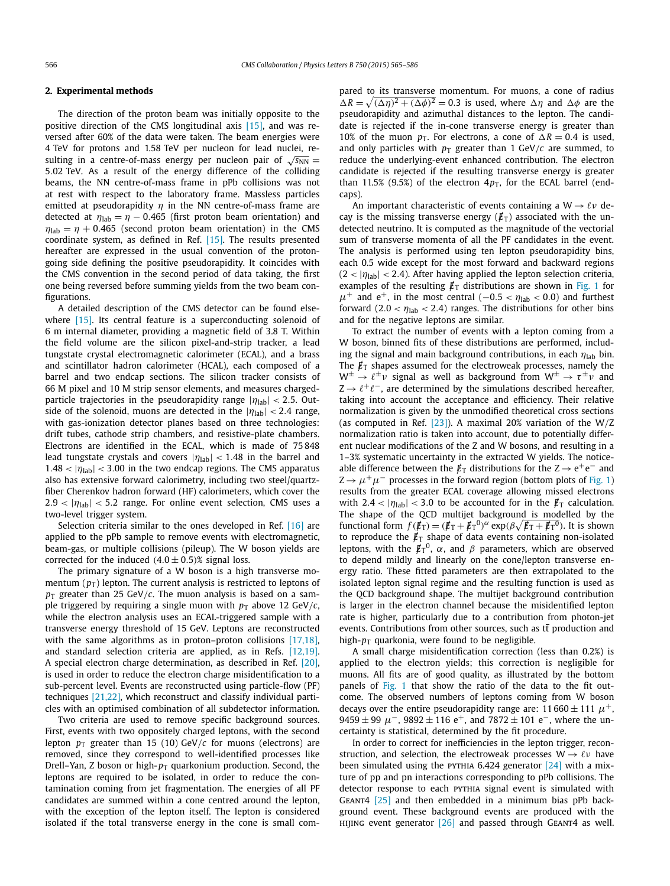#### **2. Experimental methods**

The direction of the proton beam was initially opposite to the positive direction of the CMS longitudinal axis [\[15\],](#page-6-0) and was reversed after 60% of the data were taken. The beam energies were 4 TeV for protons and 1.58 TeV per nucleon for lead nuclei, resulting in a centre-of-mass energy per nucleon pair of  $\sqrt{s_{NN}}$  = 5*.*02 TeV. As a result of the energy difference of the colliding beams, the NN centre-of-mass frame in pPb collisions was not at rest with respect to the laboratory frame. Massless particles emitted at pseudorapidity *η* in the NN centre-of-mass frame are detected at  $\eta_{\text{lab}} = \eta - 0.465$  (first proton beam orientation) and  $\eta_{\text{lab}} = \eta + 0.465$  (second proton beam orientation) in the CMS coordinate system, as defined in Ref. [\[15\].](#page-6-0) The results presented hereafter are expressed in the usual convention of the protongoing side defining the positive pseudorapidity. It coincides with the CMS convention in the second period of data taking, the first one being reversed before summing yields from the two beam configurations.

A detailed description of the CMS detector can be found else-where [\[15\].](#page-6-0) Its central feature is a superconducting solenoid of 6 m internal diameter, providing a magnetic field of 3.8 T. Within the field volume are the silicon pixel-and-strip tracker, a lead tungstate crystal electromagnetic calorimeter (ECAL), and a brass and scintillator hadron calorimeter (HCAL), each composed of a barrel and two endcap sections. The silicon tracker consists of 66 M pixel and 10 M strip sensor elements, and measures chargedparticle trajectories in the pseudorapidity range |*η*lab| *<* <sup>2</sup>*.*5. Outside of the solenoid, muons are detected in the  $|\eta_{lab}| < 2.4$  range, with gas-ionization detector planes based on three technologies: drift tubes, cathode strip chambers, and resistive-plate chambers. Electrons are identified in the ECAL, which is made of 75 848 lead tungstate crystals and covers |*η*lab| *<* <sup>1</sup>*.*48 in the barrel and  $1.48 < |\eta_{\rm lab}| < 3.00$  in the two endcap regions. The CMS apparatus also has extensive forward calorimetry, including two steel/quartzfiber Cherenkov hadron forward (HF) calorimeters, which cover the  $2.9 < |\eta_{lab}| < 5.2$  range. For online event selection, CMS uses a two-level trigger system.

Selection criteria similar to the ones developed in Ref. [\[16\]](#page-6-0) are applied to the pPb sample to remove events with electromagnetic, beam-gas, or multiple collisions (pileup). The W boson yields are corrected for the induced  $(4.0 \pm 0.5)$ % signal loss.

The primary signature of a W boson is a high transverse momentum  $(p_T)$  lepton. The current analysis is restricted to leptons of  $p_T$  greater than 25 GeV/*c*. The muon analysis is based on a sample triggered by requiring a single muon with  $p<sub>T</sub>$  above 12 GeV/*c*, while the electron analysis uses an ECAL-triggered sample with a transverse energy threshold of 15 GeV. Leptons are reconstructed with the same algorithms as in proton–proton collisions [\[17,18\],](#page-6-0) and standard selection criteria are applied, as in Refs. [\[12,19\].](#page-6-0) A special electron charge determination, as described in Ref. [\[20\],](#page-6-0) is used in order to reduce the electron charge misidentification to a sub-percent level. Events are reconstructed using particle-flow (PF) techniques [\[21,22\],](#page-6-0) which reconstruct and classify individual particles with an optimised combination of all subdetector information.

Two criteria are used to remove specific background sources. First, events with two oppositely charged leptons, with the second lepton  $p_T$  greater than 15 (10) GeV/*c* for muons (electrons) are removed, since they correspond to well-identified processes like Drell–Yan, Z boson or high- $p<sub>T</sub>$  quarkonium production. Second, the leptons are required to be isolated, in order to reduce the contamination coming from jet fragmentation. The energies of all PF candidates are summed within a cone centred around the lepton, with the exception of the lepton itself. The lepton is considered isolated if the total transverse energy in the cone is small compared to its transverse momentum. For muons, a cone of radius  $\Delta R = \sqrt{(\Delta \eta)^2 + (\Delta \phi)^2} = 0.3$  is used, where  $\Delta \eta$  and  $\Delta \phi$  are the pseudorapidity and azimuthal distances to the lepton. The candidate is rejected if the in-cone transverse energy is greater than 10% of the muon  $p_T$ . For electrons, a cone of  $\Delta R = 0.4$  is used, and only particles with  $p_T$  greater than 1 GeV/ $c$  are summed, to reduce the underlying-event enhanced contribution. The electron candidate is rejected if the resulting transverse energy is greater than 11.5% (9.5%) of the electron  $4p<sub>T</sub>$ , for the ECAL barrel (endcaps).

An important characteristic of events containing a W →  $\ell v$  decay is the missing transverse energy  $(\not{E}_T)$  associated with the undetected neutrino. It is computed as the magnitude of the vectorial sum of transverse momenta of all the PF candidates in the event. The analysis is performed using ten lepton pseudorapidity bins, each 0.5 wide except for the most forward and backward regions  $(2 < |\eta_{\text{lab}}| < 2.4)$ . After having applied the lepton selection criteria, examples of the resulting  $\sharp$ <sub>T</sub> distributions are shown in [Fig. 1](#page-2-0) for  $\mu^+$  and e<sup>+</sup>, in the most central (−0*.5 <*  $\eta_{\text{lab}}$  *<* 0*.*0) and furthest forward  $(2.0 < \eta_{\text{lab}} < 2.4)$  ranges. The distributions for other bins and for the negative leptons are similar.

To extract the number of events with a lepton coming from a W boson, binned fits of these distributions are performed, including the signal and main background contributions, in each *η*lab bin. The  $\not{E}_T$  shapes assumed for the electroweak processes, namely the  $W^{\pm} \rightarrow \ell^{\pm} \nu$  signal as well as background from  $W^{\pm} \rightarrow \tau^{\pm} \nu$  and  $Z \rightarrow \ell^+\ell^-$ , are determined by the simulations described hereafter, taking into account the acceptance and efficiency. Their relative normalization is given by the unmodified theoretical cross sections (as computed in Ref. [\[23\]\)](#page-6-0). A maximal 20% variation of the W*/*Z normalization ratio is taken into account, due to potentially different nuclear modifications of the Z and W bosons, and resulting in a 1–3% systematic uncertainty in the extracted W yields. The noticeable difference between the  $\vec{\mathbf{E}}$ <sub>T</sub> distributions for the  $Z \rightarrow e^+e^-$  and  $Z \rightarrow \mu^+\mu^-$  processes in the forward region (bottom plots of [Fig. 1\)](#page-2-0) results from the greater ECAL coverage allowing missed electrons with  $2.4 < |\eta_{\text{lab}}| < 3.0$  to be accounted for in the  $\not{E}_T$  calculation. The shape of the QCD multijet background is modelled by the functional form  $f(\cancel{F}_T) = (\cancel{F}_T + \cancel{F}_T)^0$ <sup> $\alpha$ </sup> exp $(\beta \sqrt{\cancel{F}_T + \cancel{F}_T^0})$ . It is shown to reproduce the  $\vec{\mathbf{F}}_T$  shape of data events containing non-isolated leptons, with the  $\sharp_{\tau}^0$ ,  $\alpha$ , and  $\beta$  parameters, which are observed to depend mildly and linearly on the cone/lepton transverse energy ratio. These fitted parameters are then extrapolated to the isolated lepton signal regime and the resulting function is used as the QCD background shape. The multijet background contribution is larger in the electron channel because the misidentified lepton rate is higher, particularly due to a contribution from photon-jet events. Contributions from other sources, such as tt production and high- $p_T$  quarkonia, were found to be negligible.

A small charge misidentification correction (less than 0.2%) is applied to the electron yields; this correction is negligible for muons. All fits are of good quality, as illustrated by the bottom panels of [Fig. 1](#page-2-0) that show the ratio of the data to the fit outcome. The observed numbers of leptons coming from W boson decays over the entire pseudorapidity range are:  $11\,660 \pm 111 \mu^+$ ,  $9459 \pm 99$   $\mu^-$ ,  $9892 \pm 116$  e<sup>+</sup>, and  $7872 \pm 101$  e<sup>-</sup>, where the uncertainty is statistical, determined by the fit procedure.

In order to correct for inefficiencies in the lepton trigger, reconstruction, and selection, the electroweak processes <sup>W</sup> → *ν* have been simulated using the PYTHIA 6.424 generator  $[24]$  with a mixture of pp and pn interactions corresponding to pPb collisions. The detector response to each PYTHIA signal event is simulated with Geant4 [\[25\]](#page-6-0) and then embedded in a minimum bias pPb background event. These background events are produced with the HIJING event generator  $[26]$  and passed through GEANT4 as well.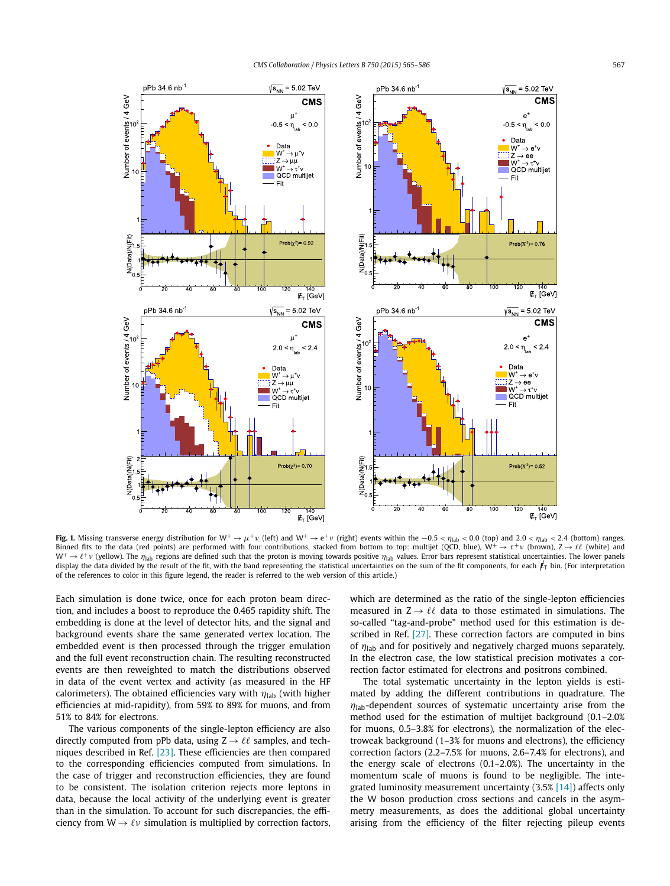<span id="page-2-0"></span>

Fig. 1. Missing transverse energy distribution for  $W^+ \rightarrow \mu^+ \nu$  (left) and  $W^+ \rightarrow e^+ \nu$  (right) events within the  $-0.5 < \eta_{\rm lab} < 0.0$  (top) and 2.0 <  $\eta_{\rm lab} < 2.4$  (bottom) ranges. Binned fits to the data (red points) are performed with four contributions, stacked from bottom to top: multijet (QCD, blue), W<sup>+</sup>  $\rightarrow \tau^+ \nu$  (brown), Z  $\rightarrow \ell \ell$  (white) and <sup>W</sup><sup>+</sup> → +*ν* (yellow). The *η*lab regions are defined such that the proton is moving towards positive *η*lab values. Error bars represent statistical uncertainties. The lower panels display the data divided by the result of the fit, with the band representing the statistical uncertainties on the sum of the fit components, for each  $\mathbf{f}_T$  bin. (For interpretation of the references to color in this figure legend, the reader is referred to the web version of this article.)

Each simulation is done twice, once for each proton beam direction, and includes a boost to reproduce the 0.465 rapidity shift. The embedding is done at the level of detector hits, and the signal and background events share the same generated vertex location. The embedded event is then processed through the trigger emulation and the full event reconstruction chain. The resulting reconstructed events are then reweighted to match the distributions observed in data of the event vertex and activity (as measured in the HF calorimeters). The obtained efficiencies vary with *η*lab (with higher efficiencies at mid-rapidity), from 59% to 89% for muons, and from 51% to 84% for electrons.

The various components of the single-lepton efficiency are also directly computed from pPb data, using  $Z \rightarrow \ell \ell$  samples, and techniques described in Ref. [\[23\].](#page-6-0) These efficiencies are then compared to the corresponding efficiencies computed from simulations. In the case of trigger and reconstruction efficiencies, they are found to be consistent. The isolation criterion rejects more leptons in data, because the local activity of the underlying event is greater than in the simulation. To account for such discrepancies, the efficiency from  $W \rightarrow \ell \nu$  simulation is multiplied by correction factors, which are determined as the ratio of the single-lepton efficiencies measured in  $Z \rightarrow \ell \ell$  data to those estimated in simulations. The so-called "tag-and-probe" method used for this estimation is de-scribed in Ref. [\[27\].](#page-7-0) These correction factors are computed in bins of *η*lab and for positively and negatively charged muons separately. In the electron case, the low statistical precision motivates a correction factor estimated for electrons and positrons combined.

The total systematic uncertainty in the lepton yields is estimated by adding the different contributions in quadrature. The *η*lab-dependent sources of systematic uncertainty arise from the method used for the estimation of multijet background (0.1–2.0% for muons, 0.5–3.8% for electrons), the normalization of the electroweak background (1–3% for muons and electrons), the efficiency correction factors (2.2–7.5% for muons, 2.6–7.4% for electrons), and the energy scale of electrons (0.1–2.0%). The uncertainty in the momentum scale of muons is found to be negligible. The integrated luminosity measurement uncertainty (3.5% [\[14\]\)](#page-6-0) affects only the W boson production cross sections and cancels in the asymmetry measurements, as does the additional global uncertainty arising from the efficiency of the filter rejecting pileup events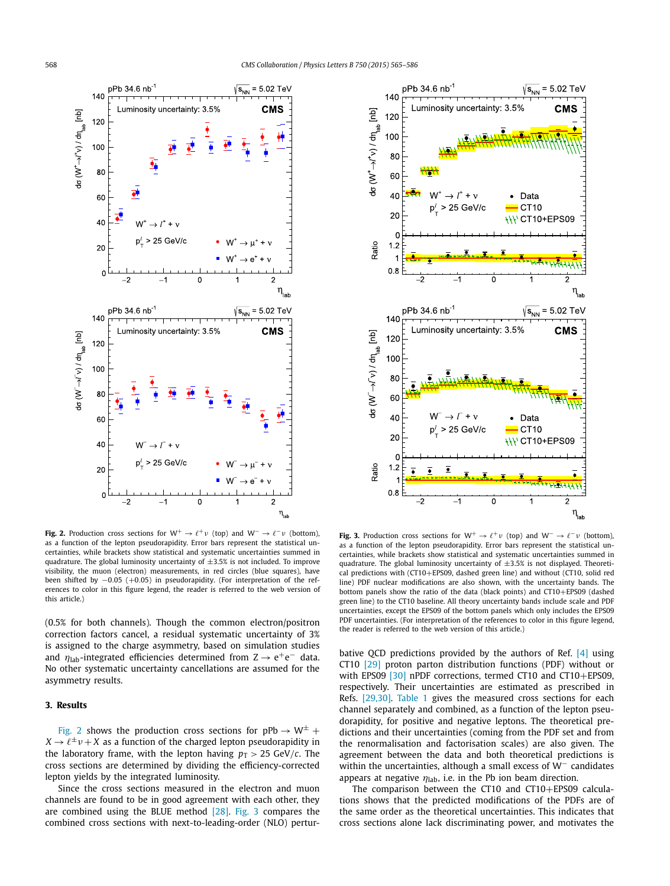

**Fig. 2.** Production cross sections for  $W^+ \to \ell^+ \nu$  (top) and  $W^- \to \ell^- \nu$  (bottom), as a function of the lepton pseudorapidity. Error bars represent the statistical uncertainties, while brackets show statistical and systematic uncertainties summed in quadrature. The global luminosity uncertainty of  $\pm 3.5\%$  is not included. To improve visibility, the muon (electron) measurements, in red circles (blue squares), have been shifted by −0*.*05 (+0*.*05) in pseudorapidity. (For interpretation of the references to color in this figure legend, the reader is referred to the web version of this article.)

(0.5% for both channels). Though the common electron/positron correction factors cancel, a residual systematic uncertainty of 3% is assigned to the charge asymmetry, based on simulation studies and  $\eta_{\text{lab}}$ -integrated efficiencies determined from  $Z \rightarrow e^+e^-$  data. No other systematic uncertainty cancellations are assumed for the asymmetry results.

#### **3. Results**

Fig. 2 shows the production cross sections for  $pPb \rightarrow W^{\pm}$  +  $X \rightarrow \ell^{\pm} \nu + X$  as a function of the charged lepton pseudorapidity in the laboratory frame, with the lepton having  $p_T > 25$  GeV/*c*. The cross sections are determined by dividing the efficiency-corrected lepton yields by the integrated luminosity.

Since the cross sections measured in the electron and muon channels are found to be in good agreement with each other, they are combined using the BLUE method [\[28\].](#page-7-0) Fig. 3 compares the combined cross sections with next-to-leading-order (NLO) pertur-



**Fig. 3.** Production cross sections for  $W^+ \to \ell^+ \nu$  (top) and  $W^- \to \ell^- \nu$  (bottom), as a function of the lepton pseudorapidity. Error bars represent the statistical uncertainties, while brackets show statistical and systematic uncertainties summed in quadrature. The global luminosity uncertainty of  $\pm 3.5\%$  is not displayed. Theoretical predictions with (CT10+EPS09, dashed green line) and without (CT10, solid red line) PDF nuclear modifications are also shown, with the uncertainty bands. The bottom panels show the ratio of the data (black points) and CT10+EPS09 (dashed green line) to the CT10 baseline. All theory uncertainty bands include scale and PDF uncertainties, except the EPS09 of the bottom panels which only includes the EPS09 PDF uncertainties. (For interpretation of the references to color in this figure legend, the reader is referred to the web version of this article.)

bative QCD predictions provided by the authors of Ref. [\[4\]](#page-6-0) using CT10 [\[29\]](#page-7-0) proton parton distribution functions (PDF) without or with EPS09 [\[30\]](#page-7-0) nPDF corrections, termed CT10 and CT10+EPS09, respectively. Their uncertainties are estimated as prescribed in Refs. [\[29,30\].](#page-7-0) [Table 1](#page-4-0) gives the measured cross sections for each channel separately and combined, as a function of the lepton pseudorapidity, for positive and negative leptons. The theoretical predictions and their uncertainties (coming from the PDF set and from the renormalisation and factorisation scales) are also given. The agreement between the data and both theoretical predictions is within the uncertainties, although a small excess of W<sup>−</sup> candidates appears at negative *η*lab, i.e. in the Pb ion beam direction.

The comparison between the CT10 and CT10+EPS09 calculations shows that the predicted modifications of the PDFs are of the same order as the theoretical uncertainties. This indicates that cross sections alone lack discriminating power, and motivates the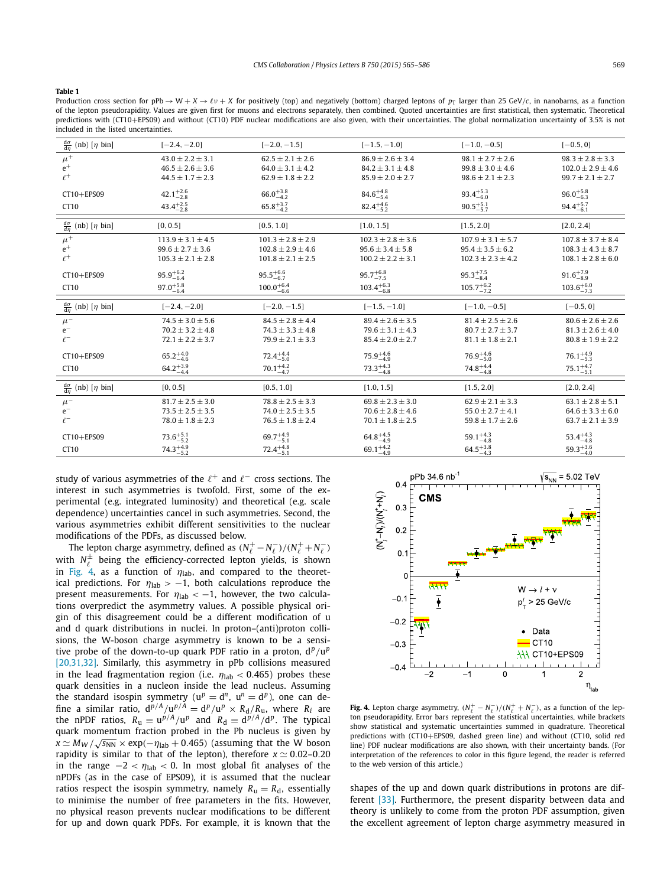#### <span id="page-4-0"></span>**Table 1**

Production cross section for pPb  $\rightarrow W + X \rightarrow \ell v + X$  for positively (top) and negatively (bottom) charged leptons of  $p_T$  larger than 25 GeV/*c*, in nanobarns, as a function of the lepton pseudorapidity. Values are given first for muons and electrons separately, then combined. Quoted uncertainties are first statistical, then systematic. Theoretical predictions with (CT10+EPS09) and without (CT10) PDF nuclear modifications are also given, with their uncertainties. The global normalization uncertainty of 3.5% is not included in the listed uncertainties.

| $rac{d\sigma}{dn}$<br>(nb) $\left[\eta \right]$ bin] | $[-2.4, -2.0]$          | $[-2.0, -1.5]$          | $[-1.5, -1.0]$          | $[-1.0, -0.5]$          | $[-0.5, 0]$             |
|------------------------------------------------------|-------------------------|-------------------------|-------------------------|-------------------------|-------------------------|
| $\mu^+$                                              | $43.0 \pm 2.2 \pm 3.1$  | $62.5 \pm 2.1 \pm 2.6$  | $86.9 \pm 2.6 \pm 3.4$  | $98.1 \pm 2.7 \pm 2.6$  | $98.3 \pm 2.8 \pm 3.3$  |
| $\mathrm{e}^+$                                       | $46.5 \pm 2.6 \pm 3.6$  | $64.0 \pm 3.1 \pm 4.2$  | $84.2 \pm 3.1 \pm 4.8$  | $99.8 \pm 3.0 \pm 4.6$  | $102.0 \pm 2.9 \pm 4.6$ |
| $l^+$                                                | $44.5 \pm 1.7 \pm 2.3$  | $62.9 \pm 1.8 \pm 2.2$  | $85.9 \pm 2.0 \pm 2.7$  | $98.6 \pm 2.1 \pm 2.3$  | $99.7 \pm 2.1 \pm 2.7$  |
| $CT10 + EPS09$                                       | $42.1_{-2.8}^{+2.6}$    | $66.0^{+3.8}_{-4.2}$    | $84.6^{+4.8}_{-5.4}$    | $93.4^{+5.3}_{-6.0}$    | $96.0^{+5.8}_{-6.3}$    |
| CT10                                                 | $43.4^{+2.5}_{-2.8}$    | $65.8^{+3.7}_{-4.2}$    | $82.4^{+4.6}_{-5.2}$    | $90.5^{+5.1}_{-5.7}$    | $94.4^{+5.7}_{-6.1}$    |
| $\frac{d\sigma}{d\eta}$<br>(nb) $\eta$ bin]          | [0, 0.5]                | [0.5, 1.0]              | [1.0, 1.5]              | [1.5, 2.0]              | [2.0, 2.4]              |
| $\mu^+$                                              | $113.9 \pm 3.1 \pm 4.5$ | $101.3 \pm 2.8 \pm 2.9$ | $102.3 \pm 2.8 \pm 3.6$ | $107.9 \pm 3.1 \pm 5.7$ | $107.8 \pm 3.7 \pm 8.4$ |
| $\mathrm{e}^+$                                       | $99.6 \pm 2.7 \pm 3.6$  | $102.8 \pm 2.9 \pm 4.6$ | $95.6 \pm 3.4 \pm 5.8$  | $95.4 \pm 3.5 \pm 6.2$  | $108.3 \pm 4.3 \pm 8.7$ |
| $l^+$                                                | $105.3 \pm 2.1 \pm 2.8$ | $101.8 \pm 2.1 \pm 2.5$ | $100.2 \pm 2.2 \pm 3.1$ | $102.3 \pm 2.3 \pm 4.2$ | $108.1 \pm 2.8 \pm 6.0$ |
| CT10+EPS09                                           | $95.9^{+6.2}_{-6.4}$    | $95.5^{+6.6}_{-6.7}$    | $95.7^{+6.8}_{-7.5}$    | $95.3^{+7.5}_{-8.4}$    | $91.6^{+7.9}_{-8.9}$    |
| CT10                                                 | $97.0^{+5.8}_{-6.4}$    | $100.0^{+6.4}_{-6.6}$   | $103.4^{+6.3}_{-6.8}$   | $105.7^{+6.2}_{-7.2}$   | $103.6^{+6.0}_{-7.3}$   |
| $rac{d\sigma}{d\eta}$ (nb) [ $\eta$ bin]             | $[-2.4, -2.0]$          | $[-2.0, -1.5]$          | $[-1.5, -1.0]$          | $[-1.0, -0.5]$          | $[-0.5, 0]$             |
| $\mu^-$                                              | $74.5 \pm 3.0 \pm 5.6$  | $84.5 \pm 2.8 \pm 4.4$  | $89.4 \pm 2.6 \pm 3.5$  | $81.4 \pm 2.5 \pm 2.6$  | $80.6 \pm 2.6 \pm 2.6$  |
| $e^-$                                                | $70.2 \pm 3.2 \pm 4.8$  | $74.3 \pm 3.3 \pm 4.8$  | $79.6 \pm 3.1 \pm 4.3$  | $80.7 \pm 2.7 \pm 3.7$  | $81.3 \pm 2.6 \pm 4.0$  |
| $\ell^-$                                             | $72.1 \pm 2.2 \pm 3.7$  | $79.9 \pm 2.1 \pm 3.3$  | $85.4 \pm 2.0 \pm 2.7$  | $81.1 \pm 1.8 \pm 2.1$  | $80.8 \pm 1.9 \pm 2.2$  |
| CT10+EPS09<br>CT10                                   | $65.2^{+4.0}_{-4.6}$    | $72.4^{+4.4}_{-5.0}$    | $75.9^{+4.6}_{-4.9}$    | $76.9^{+4.6}_{-5.0}$    | $76.1^{+4.9}_{-5.3}$    |
|                                                      | $64.2^{+3.9}_{-4.4}$    | $70.1^{+4.2}_{-4.7}$    | $73.3^{+4.3}_{-4.8}$    | $74.8^{+4.4}_{-4.8}$    | $75.1^{+4.7}_{-5.1}$    |
| $rac{d\sigma}{dn}$<br>$(nb)$ [ <i>n</i> bin]         | [0, 0.5]                | [0.5, 1.0]              | [1.0, 1.5]              | [1.5, 2.0]              | [2.0, 2.4]              |
| $\mu^-$                                              | $81.7 \pm 2.5 \pm 3.0$  | $78.8 \pm 2.5 \pm 3.3$  | $69.8 \pm 2.3 \pm 3.0$  | $62.9 \pm 2.1 \pm 3.3$  | $63.1 \pm 2.8 \pm 5.1$  |
| $e^-$                                                | $73.5 \pm 2.5 \pm 3.5$  | $74.0 + 2.5 + 3.5$      | $70.6 \pm 2.8 \pm 4.6$  | $55.0 \pm 2.7 \pm 4.1$  | $64.6 \pm 3.3 \pm 6.0$  |
| $\ell^-$                                             | $78.0 \pm 1.8 \pm 2.3$  | $76.5 \pm 1.8 \pm 2.4$  | $70.1 \pm 1.8 \pm 2.5$  | $59.8 \pm 1.7 \pm 2.6$  | $63.7 \pm 2.1 \pm 3.9$  |

study of various asymmetries of the  $\ell^+$  and  $\ell^-$  cross sections. The interest in such asymmetries is twofold. First, some of the experimental (e.g. integrated luminosity) and theoretical (e.g. scale dependence) uncertainties cancel in such asymmetries. Second, the various asymmetries exhibit different sensitivities to the nuclear modifications of the PDFs, as discussed below.

The lepton charge asymmetry, defined as  $(N_{\ell}^+ - N_{\ell}^-)/(N_{\ell}^+ + N_{\ell}^-)$ with  $N_{\ell}^{\pm}$  being the efficiency-corrected lepton yields, is shown in Fig. 4, as a function of  $\eta_{\text{lab}}$ , and compared to the theoretical predictions. For  $\eta_{lab} > -1$ , both calculations reproduce the present measurements. For  $\eta_{lab} < -1$ , however, the two calculations overpredict the asymmetry values. A possible physical origin of this disagreement could be a different modification of u and d quark distributions in nuclei. In proton–(anti)proton collisions, the W-boson charge asymmetry is known to be a sensitive probe of the down-to-up quark PDF ratio in a proton,  $d^p/u^p$ [\[20,31,32\].](#page-6-0) Similarly, this asymmetry in pPb collisions measured in the lead fragmentation region (i.e.  $\eta_{\text{lab}} < 0.465$ ) probes these quark densities in a nucleon inside the lead nucleus. Assuming the standard isospin symmetry ( $u^p = d^n$ ,  $u^n = d^p$ ), one can define a similar ratio,  $d^{p/A}/u^{p/A} = d^p/u^p \times R_d/R_u$ , where  $R_i$  are the nPDF ratios,  $R_u \equiv u^{p/A}/u^p$  and  $R_d \equiv d^{p/A}/d^p$ . The typical quark momentum fraction probed in the Pb nucleus is given by  $\alpha \simeq M_W / \sqrt{s_{NN}} \times \exp(-\eta_{\text{lab}} + 0.465)$  (assuming that the W boson rapidity is similar to that of the lepton), therefore  $x \approx 0.02 - 0.20$ in the range  $-2 < \eta_{\text{lab}} < 0$ . In most global fit analyses of the nPDFs (as in the case of EPS09), it is assumed that the nuclear ratios respect the isospin symmetry, namely  $R_u = R_d$ , essentially to minimise the number of free parameters in the fits. However, no physical reason prevents nuclear modifications to be different for up and down quark PDFs. For example, it is known that the



**Fig. 4.** Lepton charge asymmetry,  $(N_{\ell}^+ - N_{\ell}^-)/(N_{\ell}^+ + N_{\ell}^-)$ , as a function of the lepton pseudorapidity. Error bars represent the statistical uncertainties, while brackets show statistical and systematic uncertainties summed in quadrature. Theoretical predictions with (CT10+EPS09, dashed green line) and without (CT10, solid red line) PDF nuclear modifications are also shown, with their uncertainty bands. (For interpretation of the references to color in this figure legend, the reader is referred to the web version of this article.)

shapes of the up and down quark distributions in protons are different [\[33\].](#page-7-0) Furthermore, the present disparity between data and theory is unlikely to come from the proton PDF assumption, given the excellent agreement of lepton charge asymmetry measured in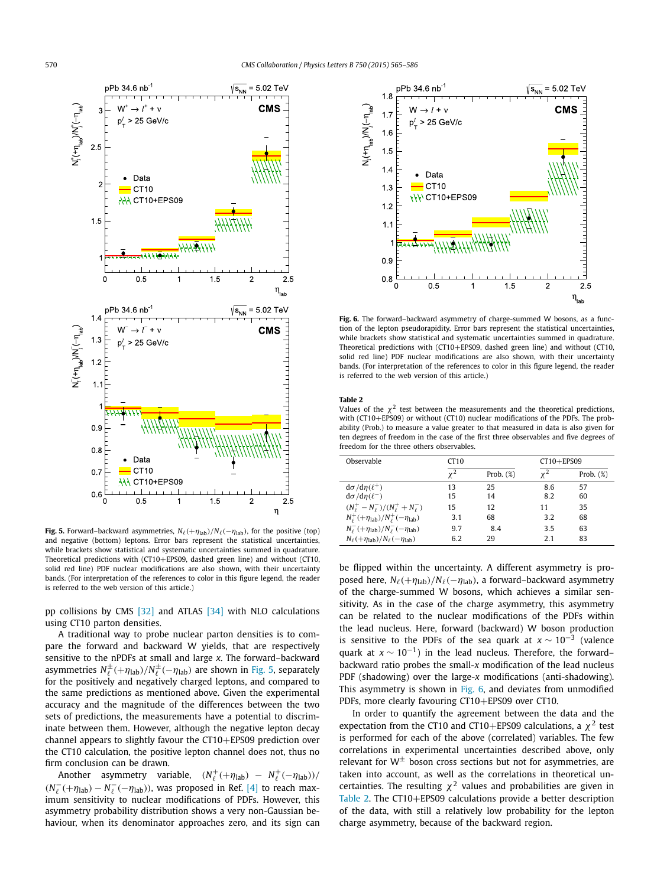

**Fig. 5.** Forward–backward asymmetries,  $N_{\ell}(+ \eta_{\text{lab}})/N_{\ell}(- \eta_{\text{lab}})$ , for the positive (top) and negative (bottom) leptons. Error bars represent the statistical uncertainties, while brackets show statistical and systematic uncertainties summed in quadrature. Theoretical predictions with (CT10+EPS09, dashed green line) and without (CT10, solid red line) PDF nuclear modifications are also shown, with their uncertainty bands. (For interpretation of the references to color in this figure legend, the reader is referred to the web version of this article.)

pp collisions by CMS [\[32\]](#page-7-0) and ATLAS [\[34\]](#page-7-0) with NLO calculations using CT10 parton densities.

A traditional way to probe nuclear parton densities is to compare the forward and backward W yields, that are respectively sensitive to the nPDFs at small and large *x*. The forward–backward asymmetries  $N_{\ell}^{\pm}(+\eta_{\rm lab})/N_{\ell}^{\pm}(-\eta_{\rm lab})$  are shown in Fig. 5, separately for the positively and negatively charged leptons, and compared to the same predictions as mentioned above. Given the experimental accuracy and the magnitude of the differences between the two sets of predictions, the measurements have a potential to discriminate between them. However, although the negative lepton decay channel appears to slightly favour the CT10+EPS09 prediction over the CT10 calculation, the positive lepton channel does not, thus no firm conclusion can be drawn.

Another asymmetry variable,  $(N_{\ell}^+(+\eta_{\text{lab}}) - N_{\ell}^+(-\eta_{\text{lab}}))/$  $(N_{\ell}^- (+ \eta_{\text{lab}}) - N_{\ell}^- (- \eta_{\text{lab}}))$ , was proposed in Ref. [\[4\]](#page-6-0) to reach maximum sensitivity to nuclear modifications of PDFs. However, this asymmetry probability distribution shows a very non-Gaussian behaviour, when its denominator approaches zero, and its sign can



**Fig. 6.** The forward–backward asymmetry of charge-summed W bosons, as a function of the lepton pseudorapidity. Error bars represent the statistical uncertainties, while brackets show statistical and systematic uncertainties summed in quadrature. Theoretical predictions with (CT10+EPS09, dashed green line) and without (CT10, solid red line) PDF nuclear modifications are also shown, with their uncertainty bands. (For interpretation of the references to color in this figure legend, the reader is referred to the web version of this article.)

**Table 2**

Values of the  $\chi^2$  test between the measurements and the theoretical predictions, with (CT10+EPS09) or without (CT10) nuclear modifications of the PDFs. The probability (Prob.) to measure a value greater to that measured in data is also given for ten degrees of freedom in the case of the first three observables and five degrees of freedom for the three others observables.

| Observable                                                             | CT10  |              | $CT10 + EPS09$ |              |
|------------------------------------------------------------------------|-------|--------------|----------------|--------------|
|                                                                        | $x^2$ | Prob. $(\%)$ | $x^2$          | Prob. $(\%)$ |
| $d\sigma/d\eta(\ell^+)$                                                | 13    | 25           | 8.6            | 57           |
| $d\sigma/d\eta(\ell^-)$                                                | 15    | 14           | 8.2            | 60           |
| $(N_{\ell}^{+} - N_{\ell}^{-})/(N_{\ell}^{+} + N_{\ell}^{-})$          | 15    | 12           | 11             | 35           |
| $N_{\ell}^{+} (+ \eta_{\rm lab})/N_{\ell}^{+} (- \eta_{\rm lab})$      | 3.1   | 68           | 3.2            | 68           |
| $N_{\ell}^-$ (+ $\eta_{\rm lab}$ )/ $N_{\ell}^-$ (- $\eta_{\rm lab}$ ) | 9.7   | 8.4          | 3.5            | 63           |
| $N_{\ell}$ (+ $\eta_{\rm lab}$ )/ $N_{\ell}$ (- $\eta_{\rm lab}$ )     | 6.2   | 29           | 2.1            | 83           |

be flipped within the uncertainty. A different asymmetry is proposed here, *<sup>N</sup>(*+*η*lab*)/N(*−*η*lab*)*, <sup>a</sup> forward–backward asymmetry of the charge-summed W bosons, which achieves a similar sensitivity. As in the case of the charge asymmetry, this asymmetry can be related to the nuclear modifications of the PDFs within the lead nucleus. Here, forward (backward) W boson production is sensitive to the PDFs of the sea quark at  $x \sim 10^{-3}$  (valence quark at  $x \sim 10^{-1}$ ) in the lead nucleus. Therefore, the forward– backward ratio probes the small-*x* modification of the lead nucleus PDF (shadowing) over the large-*x* modifications (anti-shadowing). This asymmetry is shown in Fig. 6, and deviates from unmodified PDFs, more clearly favouring CT10+EPS09 over CT10.

In order to quantify the agreement between the data and the expectation from the CT10 and CT10+EPS09 calculations, a  $\chi^2$  test is performed for each of the above (correlated) variables. The few correlations in experimental uncertainties described above, only relevant for  $W^{\pm}$  boson cross sections but not for asymmetries, are taken into account, as well as the correlations in theoretical uncertainties. The resulting  $\chi^2$  values and probabilities are given in Table 2. The CT10+EPS09 calculations provide a better description of the data, with still a relatively low probability for the lepton charge asymmetry, because of the backward region.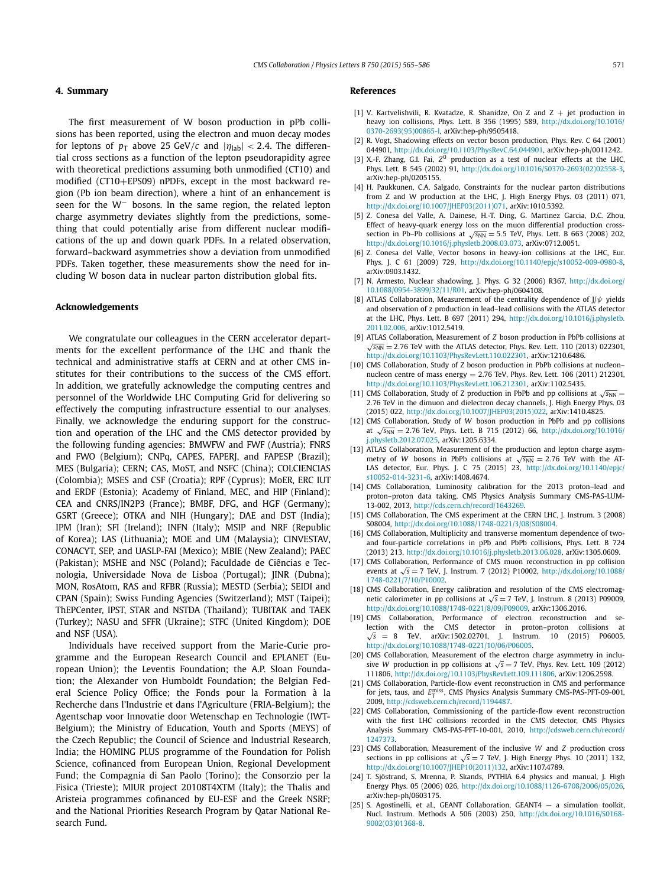#### <span id="page-6-0"></span>**4. Summary**

The first measurement of W boson production in pPb collisions has been reported, using the electron and muon decay modes for leptons of  $p_T$  above 25 GeV/*c* and  $|\eta_{lab}| < 2.4$ . The differential cross sections as a function of the lepton pseudorapidity agree with theoretical predictions assuming both unmodified (CT10) and modified (CT10+EPS09) nPDFs, except in the most backward region (Pb ion beam direction), where a hint of an enhancement is seen for the W<sup>−</sup> bosons. In the same region, the related lepton charge asymmetry deviates slightly from the predictions, something that could potentially arise from different nuclear modifications of the up and down quark PDFs. In a related observation, forward–backward asymmetries show a deviation from unmodified PDFs. Taken together, these measurements show the need for including W boson data in nuclear parton distribution global fits.

#### **Acknowledgements**

We congratulate our colleagues in the CERN accelerator departments for the excellent performance of the LHC and thank the technical and administrative staffs at CERN and at other CMS institutes for their contributions to the success of the CMS effort. In addition, we gratefully acknowledge the computing centres and personnel of the Worldwide LHC Computing Grid for delivering so effectively the computing infrastructure essential to our analyses. Finally, we acknowledge the enduring support for the construction and operation of the LHC and the CMS detector provided by the following funding agencies: BMWFW and FWF (Austria); FNRS and FWO (Belgium); CNPq, CAPES, FAPERJ, and FAPESP (Brazil); MES (Bulgaria); CERN; CAS, MoST, and NSFC (China); COLCIENCIAS (Colombia); MSES and CSF (Croatia); RPF (Cyprus); MoER, ERC IUT and ERDF (Estonia); Academy of Finland, MEC, and HIP (Finland); CEA and CNRS/IN2P3 (France); BMBF, DFG, and HGF (Germany); GSRT (Greece); OTKA and NIH (Hungary); DAE and DST (India); IPM (Iran); SFI (Ireland); INFN (Italy); MSIP and NRF (Republic of Korea); LAS (Lithuania); MOE and UM (Malaysia); CINVESTAV, CONACYT, SEP, and UASLP-FAI (Mexico); MBIE (New Zealand); PAEC (Pakistan); MSHE and NSC (Poland); Faculdade de Ciências e Tecnologia, Universidade Nova de Lisboa (Portugal); JINR (Dubna); MON, RosAtom, RAS and RFBR (Russia); MESTD (Serbia); SEIDI and CPAN (Spain); Swiss Funding Agencies (Switzerland); MST (Taipei); ThEPCenter, IPST, STAR and NSTDA (Thailand); TUBITAK and TAEK (Turkey); NASU and SFFR (Ukraine); STFC (United Kingdom); DOE and NSF (USA).

Individuals have received support from the Marie-Curie programme and the European Research Council and EPLANET (European Union); the Leventis Foundation; the A.P. Sloan Foundation; the Alexander von Humboldt Foundation; the Belgian Federal Science Policy Office; the Fonds pour la Formation à la Recherche dans l'Industrie et dans l'Agriculture (FRIA-Belgium); the Agentschap voor Innovatie door Wetenschap en Technologie (IWT-Belgium); the Ministry of Education, Youth and Sports (MEYS) of the Czech Republic; the Council of Science and Industrial Research, India; the HOMING PLUS programme of the Foundation for Polish Science, cofinanced from European Union, Regional Development Fund; the Compagnia di San Paolo (Torino); the Consorzio per la Fisica (Trieste); MIUR project 20108T4XTM (Italy); the Thalis and Aristeia programmes cofinanced by EU-ESF and the Greek NSRF; and the National Priorities Research Program by Qatar National Research Fund.

#### **References**

- [1] V. Kartvelishvili, R. Kvatadze, R. Shanidze, On Z and  $Z +$  jet production in heavy ion collisions, Phys. Lett. B 356 (1995) 589, [http://dx.doi.org/10.1016/](http://dx.doi.org/10.1016/0370-2693(95)00865-I) [0370-2693\(95\)00865-I](http://dx.doi.org/10.1016/0370-2693(95)00865-I), arXiv:hep-ph/9505418.
- [2] R. Vogt, Shadowing effects on vector boson production, Phys. Rev. C 64 (2001) 044901, [http://dx.doi.org/10.1103/PhysRevC.64.044901,](http://dx.doi.org/10.1103/PhysRevC.64.044901) arXiv:hep-ph/0011242.
- [3] X<sub>-F.</sub> Zhang, G.I. Fai,  $Z^0$  production as a test of nuclear effects at the LHC, Phys. Lett. B 545 (2002) 91, [http://dx.doi.org/10.1016/S0370-2693\(02\)02558-3,](http://dx.doi.org/10.1016/S0370-2693(02)02558-3) arXiv:hep-ph/0205155.
- [4] H. Paukkunen, C.A. Salgado, Constraints for the nuclear parton distributions from Z and W production at the LHC, J. High Energy Phys. 03 (2011) 071, [http://dx.doi.org/10.1007/JHEP03\(2011\)071,](http://dx.doi.org/10.1007/JHEP03(2011)071) arXiv:1010.5392.
- [5] Z. Conesa del Valle, A. Dainese, H.-T. Ding, G. Martinez Garcia, D.C. Zhou, Effect of heavy-quark energy loss on the muon differential production crosssection in Pb–Pb collisions at  $\sqrt{s_{NN}}$  = 5.5 TeV, Phys. Lett. B 663 (2008) 202, <http://dx.doi.org/10.1016/j.physletb.2008.03.073>, arXiv:0712.0051.
- [6] Z. Conesa del Valle, Vector bosons in heavy-ion collisions at the LHC, Eur. Phys. J. C 61 (2009) 729, <http://dx.doi.org/10.1140/epjc/s10052-009-0980-8>, arXiv:0903.1432.
- [7] N. Armesto, Nuclear shadowing, J. Phys. G 32 (2006) R367, [http://dx.doi.org/](http://dx.doi.org/10.1088/0954-3899/32/11/R01) [10.1088/0954-3899/32/11/R01](http://dx.doi.org/10.1088/0954-3899/32/11/R01), arXiv:hep-ph/0604108.
- [8] ATLAS Collaboration, Measurement of the centrality dependence of J/*ψ* yields and observation of z production in lead–lead collisions with the ATLAS detector at the LHC, Phys. Lett. B 697 (2011) 294, [http://dx.doi.org/10.1016/j.physletb.](http://dx.doi.org/10.1016/j.physletb.2011.02.006) [2011.02.006,](http://dx.doi.org/10.1016/j.physletb.2011.02.006) arXiv:1012.5419.<br>[9] ATLAS Collaboration, Measurement of Z boson production in PbPb collisions at
- $\sqrt{s_{NN}}$  = 2.76 TeV with the ATLAS detector, Phys. Rev. Lett. 110 (2013) 022301, <http://dx.doi.org/10.1103/PhysRevLett.110.022301>, arXiv:1210.6486.
- [10] CMS Collaboration, Study of Z boson production in PbPb collisions at nucleon– nucleon centre of mass energy  $= 2.76$  TeV, Phys. Rev. Lett. 106 (2011) 212301, <http://dx.doi.org/10.1103/PhysRevLett.106.212301>, arXiv:1102.5435.
- [11] CMS Collaboration, Study of Z production in PbPb and pp collisions at  $\sqrt{s_{NN}}$  = 2*.*76 TeV in the dimuon and dielectron decay channels, J. High Energy Phys. 03 (2015) 022, [http://dx.doi.org/10.1007/JHEP03\(2015\)022,](http://dx.doi.org/10.1007/JHEP03(2015)022) arXiv:1410.4825.
- [12] CMS Collaboration, Study of *W* boson production in PbPb and pp collisions at  $\sqrt{s_{NN}}$  = 2.76 TeV, Phys. Lett. B 715 (2012) 66, [http://dx.doi.org/10.1016/](http://dx.doi.org/10.1016/j.physletb.2012.07.025) [j.physletb.2012.07.025,](http://dx.doi.org/10.1016/j.physletb.2012.07.025) arXiv:1205.6334.
- [13] ATLAS Collaboration, Measurement of the production and lepton charge asymmetry of *W* bosons in PbPb collisions at  $\sqrt{s_{NN}} = 2.76$  TeV with the AT-LAS detector, Eur. Phys. J. C 75 (2015) 23, [http://dx.doi.org/10.1140/epjc/](http://dx.doi.org/10.1140/epjc/s10052-014-3231-6) [s10052-014-3231-6,](http://dx.doi.org/10.1140/epjc/s10052-014-3231-6) arXiv:1408.4674.
- [14] CMS Collaboration, Luminosity calibration for the 2013 proton-lead and proton–proton data taking, CMS Physics Analysis Summary CMS-PAS-LUM-13-002, 2013, <http://cds.cern.ch/record/1643269>.
- [15] CMS Collaboration, The CMS experiment at the CERN LHC, J. Instrum. 3 (2008) S08004, <http://dx.doi.org/10.1088/1748-0221/3/08/S08004>.
- [16] CMS Collaboration, Multiplicity and transverse momentum dependence of twoand four-particle correlations in pPb and PbPb collisions, Phys. Lett. B 724 (2013) 213, [http://dx.doi.org/10.1016/j.physletb.2013.06.028,](http://dx.doi.org/10.1016/j.physletb.2013.06.028) arXiv:1305.0609.
- [17] CMS Collaboration, Performance of CMS muon reconstruction in pp collision events at <sup>√</sup>*<sup>s</sup>* <sup>=</sup> <sup>7</sup> TeV, J. Instrum. <sup>7</sup> (2012) P10002, [http://dx.doi.org/10.1088/](http://dx.doi.org/10.1088/1748-0221/7/10/P10002) [1748-0221/7/10/P10002](http://dx.doi.org/10.1088/1748-0221/7/10/P10002).
- [18] CMS Collaboration, Energy calibration and resolution of the CMS electromagnetic calorimeter in pp collisions at  $\sqrt{s}$  = 7 TeV, J. Instrum. 8 (2013) P09009, [http://dx.doi.org/10.1088/1748-0221/8/09/P09009,](http://dx.doi.org/10.1088/1748-0221/8/09/P09009) arXiv:1306.2016.
- [19] CMS Collaboration, Performance of electron reconstruction and selection with the CMS detector in proton–proton collisions at <sup>√</sup>*<sup>s</sup>* <sup>=</sup> 8 TeV, arXiv:1502.02701, J. Instrum. <sup>10</sup> (2015) P06005, [http://dx.doi.org/10.1088/1748-0221/10/06/P06005.](http://dx.doi.org/10.1088/1748-0221/10/06/P06005)
- [20] CMS Collaboration, Measurement of the electron charge asymmetry in inclusive *W* production in pp collisions at  $\sqrt{s} = 7$  TeV, Phys. Rev. Lett. 109 (2012) 111806, <http://dx.doi.org/10.1103/PhysRevLett.109.111806>, arXiv:1206.2598.
- [21] CMS Collaboration, Particle-flow event reconstruction in CMS and performance for jets, taus, and  $E_{\text{T}}^{\text{miss}}$ , CMS Physics Analysis Summary CMS-PAS-PFT-09-001, 2009, [http://cdsweb.cern.ch/record/1194487.](http://cdsweb.cern.ch/record/1194487)
- [22] CMS Collaboration, Commissioning of the particle-flow event reconstruction with the first LHC collisions recorded in the CMS detector, CMS Physics Analysis Summary CMS-PAS-PFT-10-001, 2010, [http://cdsweb.cern.ch/record/](http://cdsweb.cern.ch/record/1247373) [1247373](http://cdsweb.cern.ch/record/1247373).
- [23] CMS Collaboration, Measurement of the inclusive *W* and *Z* production cross sections in pp collisions at  $\sqrt{s} = 7$  TeV, J. High Energy Phys. 10 (2011) 132, [http://dx.doi.org/10.1007/JHEP10\(2011\)132,](http://dx.doi.org/10.1007/JHEP10(2011)132) arXiv:1107.4789.
- [24] T. Sjöstrand, S. Mrenna, P. Skands, PYTHIA 6.4 physics and manual, J. High Energy Phys. 05 (2006) 026, [http://dx.doi.org/10.1088/1126-6708/2006/05/026,](http://dx.doi.org/10.1088/1126-6708/2006/05/026) arXiv:hep-ph/0603175.
- [25] S. Agostinelli, et al., GEANT Collaboration, GEANT4 a simulation toolkit, Nucl. Instrum. Methods A 506 (2003) 250, [http://dx.doi.org/10.1016/S0168-](http://dx.doi.org/10.1016/S0168-9002(03)01368-8) [9002\(03\)01368-8.](http://dx.doi.org/10.1016/S0168-9002(03)01368-8)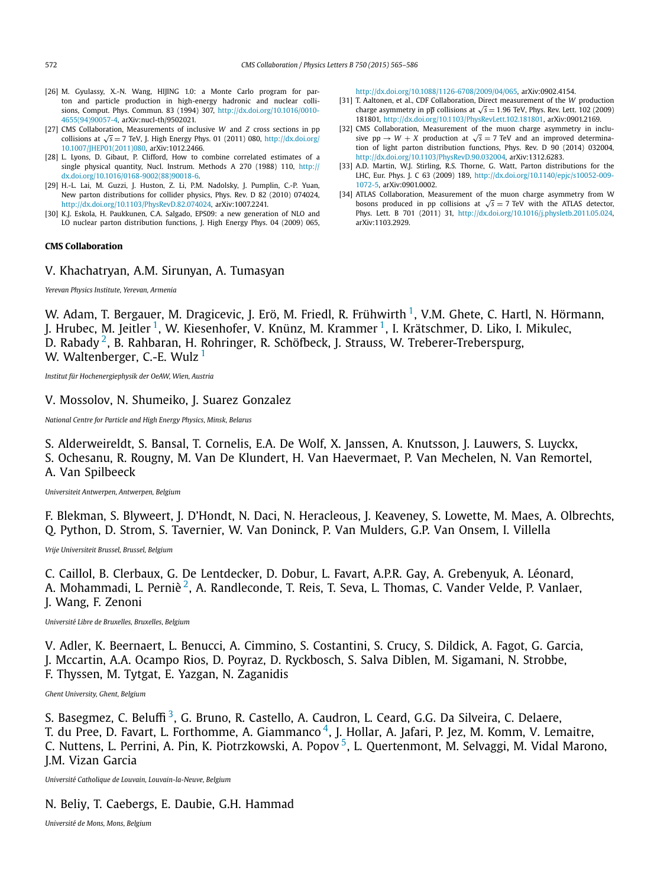- <span id="page-7-0"></span>[26] M. Gyulassy, X.-N. Wang, HIJING 1.0: a Monte Carlo program for parton and particle production in high-energy hadronic and nuclear collisions, Comput. Phys. Commun. 83 (1994) 307, [http://dx.doi.org/10.1016/0010-](http://dx.doi.org/10.1016/0010-4655(94)90057-4) [4655\(94\)90057-4](http://dx.doi.org/10.1016/0010-4655(94)90057-4), arXiv:nucl-th/9502021.
- [27] CMS Collaboration, Measurements of inclusive *W* and *Z* cross sections in pp collisions at  $\sqrt{s}$  = 7 TeV, J. High Energy Phys. 01 (2011) 080, [http://dx.doi.org/](http://dx.doi.org/10.1007/JHEP01(2011)080) [10.1007/JHEP01\(2011\)080,](http://dx.doi.org/10.1007/JHEP01(2011)080) arXiv:1012.2466.
- [28] L. Lyons, D. Gibaut, P. Clifford, How to combine correlated estimates of a single physical quantity, Nucl. Instrum. Methods A 270 (1988) 110, [http://](http://dx.doi.org/10.1016/0168-9002(88)90018-6) [dx.doi.org/10.1016/0168-9002\(88\)90018-6](http://dx.doi.org/10.1016/0168-9002(88)90018-6).
- [29] H.-L. Lai, M. Guzzi, J. Huston, Z. Li, P.M. Nadolsky, J. Pumplin, C.-P. Yuan, New parton distributions for collider physics, Phys. Rev. D 82 (2010) 074024, <http://dx.doi.org/10.1103/PhysRevD.82.074024>, arXiv:1007.2241.
- [30] K.J. Eskola, H. Paukkunen, C.A. Salgado, EPS09: a new generation of NLO and LO nuclear parton distribution functions, J. High Energy Phys. 04 (2009) 065,

#### **CMS Collaboration**

#### V. Khachatryan, A.M. Sirunyan, A. Tumasyan

*Yerevan Physics Institute, Yerevan, Armenia*

<http://dx.doi.org/10.1088/1126-6708/2009/04/065>, arXiv:0902.4154.

- [31] T. Aaltonen, et al., CDF Collaboration, Direct measurement of the *W* production charge asymmetry in  $p\bar{p}$  collisions at  $\sqrt{s} = 1.96$  TeV, Phys. Rev. Lett. 102 (2009) 181801, <http://dx.doi.org/10.1103/PhysRevLett.102.181801>, arXiv:0901.2169.
- [32] CMS Collaboration, Measurement of the muon charge asymmetry in inclusive  $pp \rightarrow W + X$  production at  $\sqrt{s} = 7$  TeV and an improved determination of light parton distribution functions, Phys. Rev. D 90 (2014) 032004, <http://dx.doi.org/10.1103/PhysRevD.90.032004>, arXiv:1312.6283.
- [33] A.D. Martin, W.J. Stirling, R.S. Thorne, G. Watt, Parton distributions for the LHC, Eur. Phys. J. C 63 (2009) 189, [http://dx.doi.org/10.1140/epjc/s10052-009-](http://dx.doi.org/10.1140/epjc/s10052-009-1072-5) [1072-5,](http://dx.doi.org/10.1140/epjc/s10052-009-1072-5) arXiv:0901.0002.
- [34] ATLAS Collaboration, Measurement of the muon charge asymmetry from W bosons produced in pp collisions at  $\sqrt{s} = 7$  TeV with the ATLAS detector, Phys. Lett. B 701 (2011) 31, <http://dx.doi.org/10.1016/j.physletb.2011.05.024>, arXiv:1103.2929.

W. Adam, T. Bergauer, M. Dragicevic, J. Erö, M. Friedl, R. Frühwirth <sup>[1](#page-20-0)</sup>, V.M. Ghete, C. Hartl, N. Hörmann, J. Hrubec, M. Jeitler<sup>1</sup>, W. Kiesenhofer, V. Knünz, M. Krammer<sup>1</sup>, I. Krätschmer, D. Liko, I. Mikulec, D. Rabady<sup>2</sup>, B. Rahbaran, H. Rohringer, R. Schöfbeck, J. Strauss, W. Treberer-Treberspurg, W. Waltenberger, C.-E. Wulz  $<sup>1</sup>$  $<sup>1</sup>$  $<sup>1</sup>$ </sup>

*Institut für Hochenergiephysik der OeAW, Wien, Austria*

### V. Mossolov, N. Shumeiko, J. Suarez Gonzalez

*National Centre for Particle and High Energy Physics, Minsk, Belarus*

S. Alderweireldt, S. Bansal, T. Cornelis, E.A. De Wolf, X. Janssen, A. Knutsson, J. Lauwers, S. Luyckx, S. Ochesanu, R. Rougny, M. Van De Klundert, H. Van Haevermaet, P. Van Mechelen, N. Van Remortel, A. Van Spilbeeck

*Universiteit Antwerpen, Antwerpen, Belgium*

F. Blekman, S. Blyweert, J. D'Hondt, N. Daci, N. Heracleous, J. Keaveney, S. Lowette, M. Maes, A. Olbrechts, Q. Python, D. Strom, S. Tavernier, W. Van Doninck, P. Van Mulders, G.P. Van Onsem, I. Villella

*Vrije Universiteit Brussel, Brussel, Belgium*

C. Caillol, B. Clerbaux, G. De Lentdecker, D. Dobur, L. Favart, A.P.R. Gay, A. Grebenyuk, A. Léonard, A. Mohammadi, L. Perniè<sup>2</sup>, A. Randleconde, T. Reis, T. Seva, L. Thomas, C. Vander Velde, P. Vanlaer, J. Wang, F. Zenoni

*Université Libre de Bruxelles, Bruxelles, Belgium*

V. Adler, K. Beernaert, L. Benucci, A. Cimmino, S. Costantini, S. Crucy, S. Dildick, A. Fagot, G. Garcia, J. Mccartin, A.A. Ocampo Rios, D. Poyraz, D. Ryckbosch, S. Salva Diblen, M. Sigamani, N. Strobbe, F. Thyssen, M. Tytgat, E. Yazgan, N. Zaganidis

*Ghent University, Ghent, Belgium*

S. Basegmez, C. Beluffi<sup>3</sup>, G. Bruno, R. Castello, A. Caudron, L. Ceard, G.G. Da Silveira, C. Delaere, T. du Pree, D. Favart, L. Forthomme, A. Giammanco<sup>[4](#page-21-0)</sup>, J. Hollar, A. Jafari, P. Jez, M. Komm, V. Lemaitre, C. Nuttens, L. Perrini, A. Pin, K. Piotrzkowski, A. Popov<sup>5</sup>, L. Quertenmont, M. Selvaggi, M. Vidal Marono, J.M. Vizan Garcia

*Université Catholique de Louvain, Louvain-la-Neuve, Belgium*

N. Beliy, T. Caebergs, E. Daubie, G.H. Hammad

*Université de Mons, Mons, Belgium*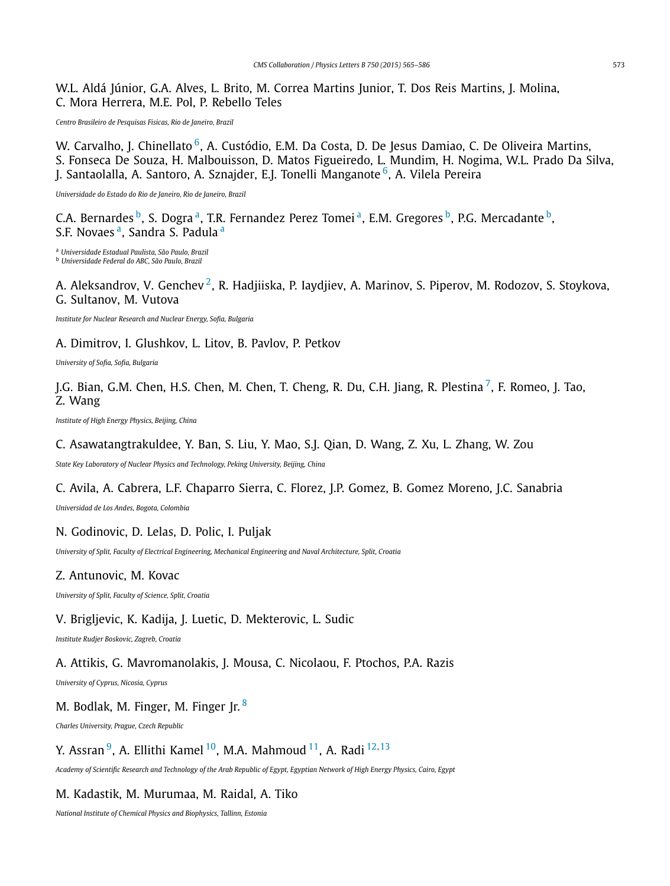W.L. Aldá Júnior, G.A. Alves, L. Brito, M. Correa Martins Junior, T. Dos Reis Martins, J. Molina, C. Mora Herrera, M.E. Pol, P. Rebello Teles

*Centro Brasileiro de Pesquisas Fisicas, Rio de Janeiro, Brazil*

W. Carvalho, J. Chinellato <sup>6</sup>, A. Custódio, E.M. Da Costa, D. De Jesus Damiao, C. De Oliveira Martins, S. Fonseca De Souza, H. Malbouisson, D. Matos Figueiredo, L. Mundim, H. Nogima, W.L. Prado Da Silva, J. Santaolalla, A. Santoro, A. Sznajder, E.J. Tonelli Manganote<sup>6</sup>, A. Vilela Pereira

*Universidade do Estado do Rio de Janeiro, Rio de Janeiro, Brazil*

C.A. Bernardes  $^{\rm b}$ , S. Dogra<sup>a</sup>, T.R. Fernandez Perez Tomei<sup>a</sup>, E.M. Gregores  $^{\rm b}$ , P.G. Mercadante  $^{\rm b}$ , S.F. Novaes<sup>a</sup>, Sandra S. Padula<sup>a</sup>

<sup>a</sup> *Universidade Estadual Paulista, São Paulo, Brazil* <sup>b</sup> *Universidade Federal do ABC, São Paulo, Brazil*

A. Aleksandrov, V. Genchev<sup>[2](#page-20-0)</sup>, R. Hadjiiska, P. Iaydjiev, A. Marinov, S. Piperov, M. Rodozov, S. Stoykova, G. Sultanov, M. Vutova

*Institute for Nuclear Research and Nuclear Energy, Sofia, Bulgaria*

### A. Dimitrov, I. Glushkov, L. Litov, B. Pavlov, P. Petkov

*University of Sofia, Sofia, Bulgaria*

# I.G. Bian, G.M. Chen, H.S. Chen, M. Chen, T. Cheng, R. Du, C.H. Jiang, R. Plestina<sup>7</sup>, F. Romeo, J. Tao, Z. Wang

*Institute of High Energy Physics, Beijing, China*

### C. Asawatangtrakuldee, Y. Ban, S. Liu, Y. Mao, S.J. Qian, D. Wang, Z. Xu, L. Zhang, W. Zou

*State Key Laboratory of Nuclear Physics and Technology, Peking University, Beijing, China*

## C. Avila, A. Cabrera, L.F. Chaparro Sierra, C. Florez, J.P. Gomez, B. Gomez Moreno, J.C. Sanabria

*Universidad de Los Andes, Bogota, Colombia*

### N. Godinovic, D. Lelas, D. Polic, I. Puljak

*University of Split, Faculty of Electrical Engineering, Mechanical Engineering and Naval Architecture, Split, Croatia*

## Z. Antunovic, M. Kovac

*University of Split, Faculty of Science, Split, Croatia*

### V. Brigljevic, K. Kadija, J. Luetic, D. Mekterovic, L. Sudic

*Institute Rudjer Boskovic, Zagreb, Croatia*

### A. Attikis, G. Mavromanolakis, J. Mousa, C. Nicolaou, F. Ptochos, P.A. Razis

*University of Cyprus, Nicosia, Cyprus*

# M. Bodlak, M. Finger, M. Finger Jr. [8](#page-21-0)

*Charles University, Prague, Czech Republic*

# Y. Assran [9,](#page-21-0) A. Ellithi Kamel [10,](#page-21-0) M.A. Mahmoud [11,](#page-21-0) A. Radi [12](#page-21-0)*,*[13](#page-21-0)

Academy of Scientific Research and Technology of the Arab Republic of Egypt, Egyptian Network of High Energy Physics, Cairo, Egypt

## M. Kadastik, M. Murumaa, M. Raidal, A. Tiko

*National Institute of Chemical Physics and Biophysics, Tallinn, Estonia*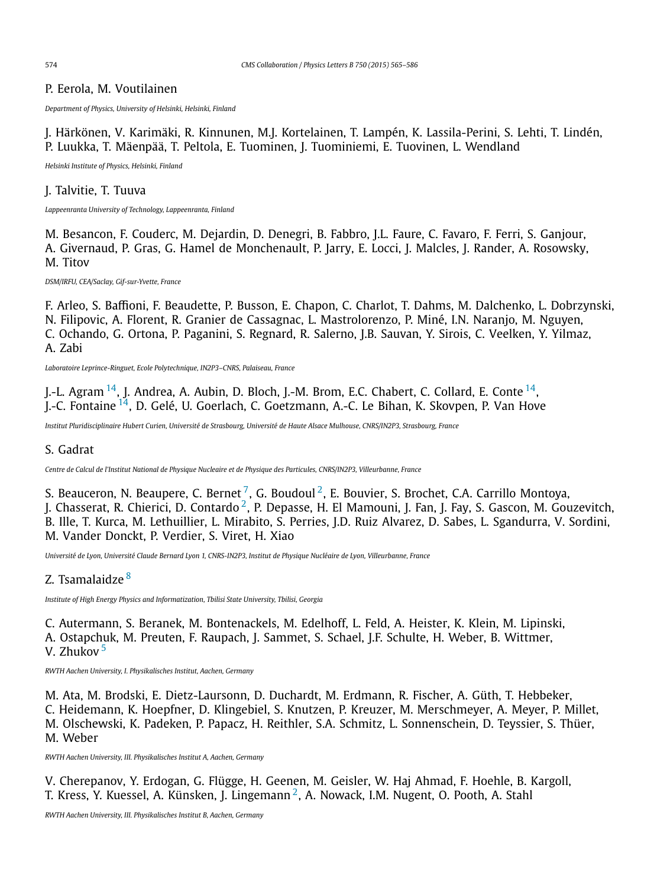# P. Eerola, M. Voutilainen

*Department of Physics, University of Helsinki, Helsinki, Finland*

J. Härkönen, V. Karimäki, R. Kinnunen, M.J. Kortelainen, T. Lampén, K. Lassila-Perini, S. Lehti, T. Lindén, P. Luukka, T. Mäenpää, T. Peltola, E. Tuominen, J. Tuominiemi, E. Tuovinen, L. Wendland

*Helsinki Institute of Physics, Helsinki, Finland*

## J. Talvitie, T. Tuuva

*Lappeenranta University of Technology, Lappeenranta, Finland*

M. Besancon, F. Couderc, M. Dejardin, D. Denegri, B. Fabbro, J.L. Faure, C. Favaro, F. Ferri, S. Ganjour, A. Givernaud, P. Gras, G. Hamel de Monchenault, P. Jarry, E. Locci, J. Malcles, J. Rander, A. Rosowsky, M. Titov

*DSM/IRFU, CEA/Saclay, Gif-sur-Yvette, France*

F. Arleo, S. Baffioni, F. Beaudette, P. Busson, E. Chapon, C. Charlot, T. Dahms, M. Dalchenko, L. Dobrzynski, N. Filipovic, A. Florent, R. Granier de Cassagnac, L. Mastrolorenzo, P. Miné, I.N. Naranjo, M. Nguyen, C. Ochando, G. Ortona, P. Paganini, S. Regnard, R. Salerno, J.B. Sauvan, Y. Sirois, C. Veelken, Y. Yilmaz, A. Zabi

*Laboratoire Leprince-Ringuet, Ecole Polytechnique, IN2P3–CNRS, Palaiseau, France*

J.-L. Agram  $^{14}$ , J. Andrea, A. Aubin, D. Bloch, J.-M. Brom, E.C. Chabert, C. Collard, E. Conte  $^{14}$ , J.-C. Fontaine <sup>14</sup>, D. Gelé, U. Goerlach, C. Goetzmann, A.-C. Le Bihan, K. Skovpen, P. Van Hove

Institut Pluridisciplinaire Hubert Curien, Université de Strasbourg, Université de Haute Alsace Mulhouse, CNRS/IN2P3, Strasbourg, France

## S. Gadrat

Centre de Calcul de l'Institut National de Physique Nucleaire et de Physique des Particules, CNRS/IN2P3, Villeurbanne, France

S. Beauceron, N. Beaupere, C. Bernet<sup>7</sup>, G. Boudoul<sup>2</sup>, E. Bouvier, S. Brochet, C.A. Carrillo Montoya, J. Chasserat, R. Chierici, D. Contardo [2,](#page-20-0) P. Depasse, H. El Mamouni, J. Fan, J. Fay, S. Gascon, M. Gouzevitch, B. Ille, T. Kurca, M. Lethuillier, L. Mirabito, S. Perries, J.D. Ruiz Alvarez, D. Sabes, L. Sgandurra, V. Sordini, M. Vander Donckt, P. Verdier, S. Viret, H. Xiao

Université de Lyon, Université Claude Bernard Lyon 1, CNRS-IN2P3, Institut de Physique Nucléaire de Lyon, Villeurbanne, France

## Z. Tsamalaidze<sup>[8](#page-21-0)</sup>

*Institute of High Energy Physics and Informatization, Tbilisi State University, Tbilisi, Georgia*

C. Autermann, S. Beranek, M. Bontenackels, M. Edelhoff, L. Feld, A. Heister, K. Klein, M. Lipinski, A. Ostapchuk, M. Preuten, F. Raupach, J. Sammet, S. Schael, J.F. Schulte, H. Weber, B. Wittmer, V. Zhukov<sup>[5](#page-21-0)</sup>

*RWTH Aachen University, I. Physikalisches Institut, Aachen, Germany*

M. Ata, M. Brodski, E. Dietz-Laursonn, D. Duchardt, M. Erdmann, R. Fischer, A. Güth, T. Hebbeker, C. Heidemann, K. Hoepfner, D. Klingebiel, S. Knutzen, P. Kreuzer, M. Merschmeyer, A. Meyer, P. Millet, M. Olschewski, K. Padeken, P. Papacz, H. Reithler, S.A. Schmitz, L. Sonnenschein, D. Teyssier, S. Thüer, M. Weber

*RWTH Aachen University, III. Physikalisches Institut A, Aachen, Germany*

V. Cherepanov, Y. Erdogan, G. Flügge, H. Geenen, M. Geisler, W. Haj Ahmad, F. Hoehle, B. Kargoll, T. Kress, Y. Kuessel, A. Künsken, J. Lingemann<sup>2</sup>, A. Nowack, I.M. Nugent, O. Pooth, A. Stahl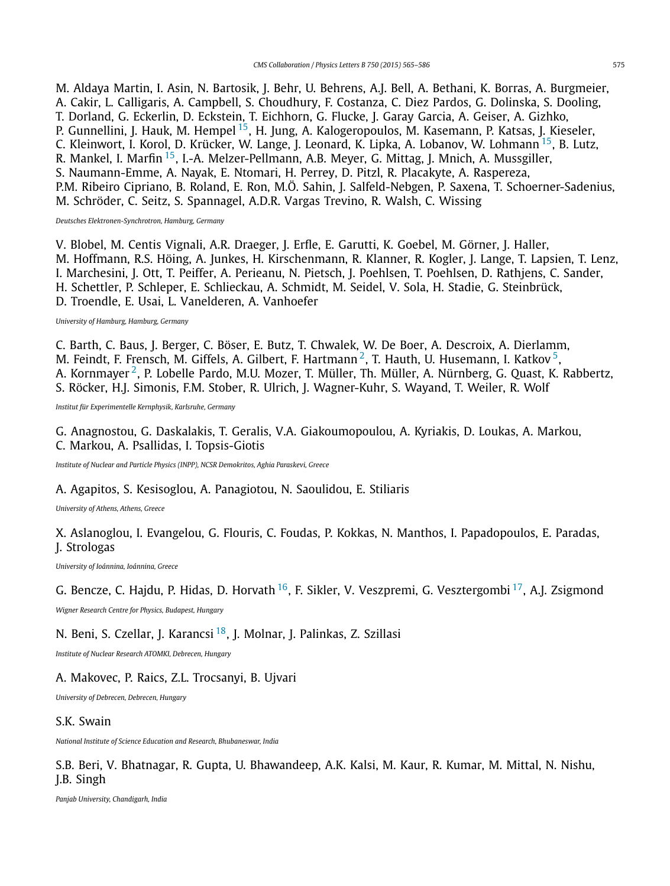M. Aldaya Martin, I. Asin, N. Bartosik, J. Behr, U. Behrens, A.J. Bell, A. Bethani, K. Borras, A. Burgmeier, A. Cakir, L. Calligaris, A. Campbell, S. Choudhury, F. Costanza, C. Diez Pardos, G. Dolinska, S. Dooling, T. Dorland, G. Eckerlin, D. Eckstein, T. Eichhorn, G. Flucke, J. Garay Garcia, A. Geiser, A. Gizhko, P. Gunnellini, J. Hauk, M. Hempel<sup>15</sup>, H. Jung, A. Kalogeropoulos, M. Kasemann, P. Katsas, J. Kieseler, C. Kleinwort, I. Korol, D. Krücker, W. Lange, J. Leonard, K. Lipka, A. Lobanov, W. Lohmann [15,](#page-21-0) B. Lutz, R. Mankel, I. Marfin [15,](#page-21-0) I.-A. Melzer-Pellmann, A.B. Meyer, G. Mittag, J. Mnich, A. Mussgiller, S. Naumann-Emme, A. Nayak, E. Ntomari, H. Perrey, D. Pitzl, R. Placakyte, A. Raspereza, P.M. Ribeiro Cipriano, B. Roland, E. Ron, M.Ö. Sahin, J. Salfeld-Nebgen, P. Saxena, T. Schoerner-Sadenius, M. Schröder, C. Seitz, S. Spannagel, A.D.R. Vargas Trevino, R. Walsh, C. Wissing

*Deutsches Elektronen-Synchrotron, Hamburg, Germany*

V. Blobel, M. Centis Vignali, A.R. Draeger, J. Erfle, E. Garutti, K. Goebel, M. Görner, J. Haller, M. Hoffmann, R.S. Höing, A. Junkes, H. Kirschenmann, R. Klanner, R. Kogler, J. Lange, T. Lapsien, T. Lenz, I. Marchesini, J. Ott, T. Peiffer, A. Perieanu, N. Pietsch, J. Poehlsen, T. Poehlsen, D. Rathjens, C. Sander, H. Schettler, P. Schleper, E. Schlieckau, A. Schmidt, M. Seidel, V. Sola, H. Stadie, G. Steinbrück, D. Troendle, E. Usai, L. Vanelderen, A. Vanhoefer

*University of Hamburg, Hamburg, Germany*

C. Barth, C. Baus, J. Berger, C. Böser, E. Butz, T. Chwalek, W. De Boer, A. Descroix, A. Dierlamm, M. Feindt, F. Frensch, M. Giffels, A. Gilbert, F. Hartmann<sup>2</sup>, T. Hauth, U. Husemann, I. Katkov<sup>[5](#page-21-0)</sup>, A. Kornmayer<sup>2</sup>, P. Lobelle Pardo, M.U. Mozer, T. Müller, Th. Müller, A. Nürnberg, G. Quast, K. Rabbertz, S. Röcker, H.J. Simonis, F.M. Stober, R. Ulrich, J. Wagner-Kuhr, S. Wayand, T. Weiler, R. Wolf

*Institut für Experimentelle Kernphysik, Karlsruhe, Germany*

G. Anagnostou, G. Daskalakis, T. Geralis, V.A. Giakoumopoulou, A. Kyriakis, D. Loukas, A. Markou, C. Markou, A. Psallidas, I. Topsis-Giotis

*Institute of Nuclear and Particle Physics (INPP), NCSR Demokritos, Aghia Paraskevi, Greece*

# A. Agapitos, S. Kesisoglou, A. Panagiotou, N. Saoulidou, E. Stiliaris

*University of Athens, Athens, Greece*

# X. Aslanoglou, I. Evangelou, G. Flouris, C. Foudas, P. Kokkas, N. Manthos, I. Papadopoulos, E. Paradas, J. Strologas

*University of Ioánnina, Ioánnina, Greece*

# G. Bencze, C. Hajdu, P. Hidas, D. Horvath [16,](#page-21-0) F. Sikler, V. Veszpremi, G. Vesztergombi [17,](#page-21-0) A.J. Zsigmond

*Wigner Research Centre for Physics, Budapest, Hungary*

# N. Beni, S. Czellar, J. Karancsi [18,](#page-21-0) J. Molnar, J. Palinkas, Z. Szillasi

*Institute of Nuclear Research ATOMKI, Debrecen, Hungary*

# A. Makovec, P. Raics, Z.L. Trocsanyi, B. Ujvari

*University of Debrecen, Debrecen, Hungary*

## S.K. Swain

*National Institute of Science Education and Research, Bhubaneswar, India*

S.B. Beri, V. Bhatnagar, R. Gupta, U. Bhawandeep, A.K. Kalsi, M. Kaur, R. Kumar, M. Mittal, N. Nishu, J.B. Singh

*Panjab University, Chandigarh, India*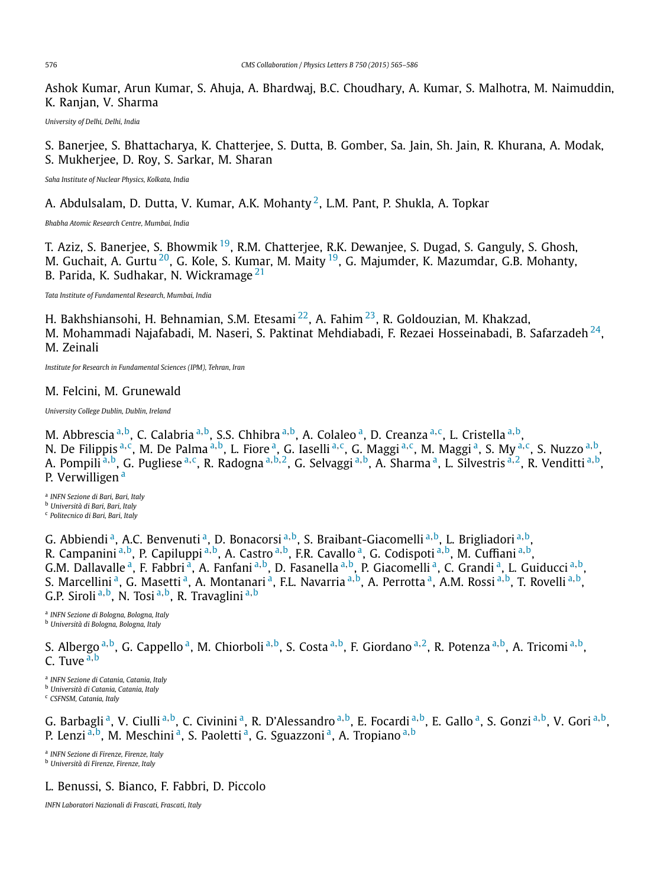Ashok Kumar, Arun Kumar, S. Ahuja, A. Bhardwaj, B.C. Choudhary, A. Kumar, S. Malhotra, M. Naimuddin, K. Ranjan, V. Sharma

*University of Delhi, Delhi, India*

S. Banerjee, S. Bhattacharya, K. Chatterjee, S. Dutta, B. Gomber, Sa. Jain, Sh. Jain, R. Khurana, A. Modak, S. Mukherjee, D. Roy, S. Sarkar, M. Sharan

*Saha Institute of Nuclear Physics, Kolkata, India*

A. Abdulsalam, D. Dutta, V. Kumar, A.K. Mohanty [2,](#page-20-0) L.M. Pant, P. Shukla, A. Topkar

*Bhabha Atomic Research Centre, Mumbai, India*

T. Aziz, S. Banerjee, S. Bhowmik <sup>[19](#page-21-0)</sup>, R.M. Chatterjee, R.K. Dewanjee, S. Dugad, S. Ganguly, S. Ghosh, M. Guchait, A. Gurtu [20,](#page-21-0) G. Kole, S. Kumar, M. Maity [19,](#page-21-0) G. Majumder, K. Mazumdar, G.B. Mohanty, B. Parida, K. Sudhakar, N. Wickramage [21](#page-21-0)

*Tata Institute of Fundamental Research, Mumbai, India*

H. Bakhshiansohi, H. Behnamian, S.M. Etesami [22,](#page-21-0) A. Fahim [23,](#page-21-0) R. Goldouzian, M. Khakzad, M. Mohammadi Najafabadi, M. Naseri, S. Paktinat Mehdiabadi, F. Rezaei Hosseinabadi, B. Safarzadeh [24,](#page-21-0) M. Zeinali

*Institute for Research in Fundamental Sciences (IPM), Tehran, Iran*

### M. Felcini, M. Grunewald

*University College Dublin, Dublin, Ireland*

M. Abbrescia <sup>a</sup>*,*b, C. Calabria <sup>a</sup>*,*b, S.S. Chhibra <sup>a</sup>*,*b, A. Colaleo a, D. Creanza <sup>a</sup>*,*c, L. Cristella <sup>a</sup>*,*b, N. De Filippis <sup>a</sup>*,*c, M. De Palma <sup>a</sup>*,*b, L. Fiore a, G. Iaselli <sup>a</sup>*,*c, G. Maggi <sup>a</sup>*,*c, M. Maggi a, S. My <sup>a</sup>*,*c, S. Nuzzo <sup>a</sup>*,*b, A. Pompili <sup>a</sup>*,*b, G. Pugliese <sup>a</sup>*,*c, R. Radogna <sup>a</sup>*,*b*,*[2,](#page-20-0) G. Selvaggi <sup>a</sup>*,*b, A. Sharma a, L. Silvestris <sup>a</sup>*,*[2,](#page-20-0) R. Venditti <sup>a</sup>*,*b, P. Verwilligen<sup>a</sup>

- <sup>a</sup> *INFN Sezione di Bari, Bari, Italy* <sup>b</sup> *Università di Bari, Bari, Italy*
- <sup>c</sup> *Politecnico di Bari, Bari, Italy*

G. Abbiendi a, A.C. Benvenuti a, D. Bonacorsi <sup>a</sup>*,*b, S. Braibant-Giacomelli <sup>a</sup>*,*b, L. Brigliadori <sup>a</sup>*,*b, R. Campanini <sup>a</sup>*,*b, P. Capiluppi <sup>a</sup>*,*b, A. Castro <sup>a</sup>*,*b, F.R. Cavallo a, G. Codispoti <sup>a</sup>*,*b, M. Cuffiani <sup>a</sup>*,*b, G.M. Dallavalle<sup>a</sup>, F. Fabbri<sup>a</sup>, A. Fanfani<sup>a,b</sup>, D. Fasanella a,b, P. Giacomelli<sup>a</sup>, C. Grandi<sup>a</sup>, L. Guiducci<sup>a,b</sup>, S. Marcellini a, G. Masetti a, A. Montanari a, F.L. Navarria <sup>a</sup>*,*b, A. Perrotta a, A.M. Rossi <sup>a</sup>*,*b, T. Rovelli <sup>a</sup>*,*b, G.P. Siroli <sup>a</sup>*,*b, N. Tosi <sup>a</sup>*,*b, R. Travaglini <sup>a</sup>*,*<sup>b</sup>

<sup>a</sup> *INFN Sezione di Bologna, Bologna, Italy* <sup>b</sup> *Università di Bologna, Bologna, Italy*

S. Albergo <sup>a</sup>*,*b, G. Cappello a, M. Chiorboli <sup>a</sup>*,*b, S. Costa <sup>a</sup>*,*b, F. Giordano <sup>a</sup>*,*[2,](#page-20-0) R. Potenza <sup>a</sup>*,*b, A. Tricomi <sup>a</sup>*,*b, C. Tuve <sup>a</sup>*,*<sup>b</sup>

<sup>a</sup> *INFN Sezione di Catania, Catania, Italy*

<sup>b</sup> *Università di Catania, Catania, Italy*

<sup>c</sup> *CSFNSM, Catania, Italy*

G. Barbagli<sup>a</sup>, V. Ciulli<sup>a,b</sup>, C. Civinini<sup>a</sup>, R. D'Alessandro<sup>a,b</sup>, E. Focardi<sup>a,b</sup>, E. Gallo<sup>a</sup>, S. Gonzi<sup>a,b</sup>, V. Gori<sup>a,b</sup>, P. Lenzi a, b, M. Meschini <sup>a</sup>, S. Paoletti <sup>a</sup>, G. Sguazzoni <sup>a</sup>, A. Tropiano a, b

<sup>a</sup> *INFN Sezione di Firenze, Firenze, Italy*

<sup>b</sup> *Università di Firenze, Firenze, Italy*

L. Benussi, S. Bianco, F. Fabbri, D. Piccolo

*INFN Laboratori Nazionali di Frascati, Frascati, Italy*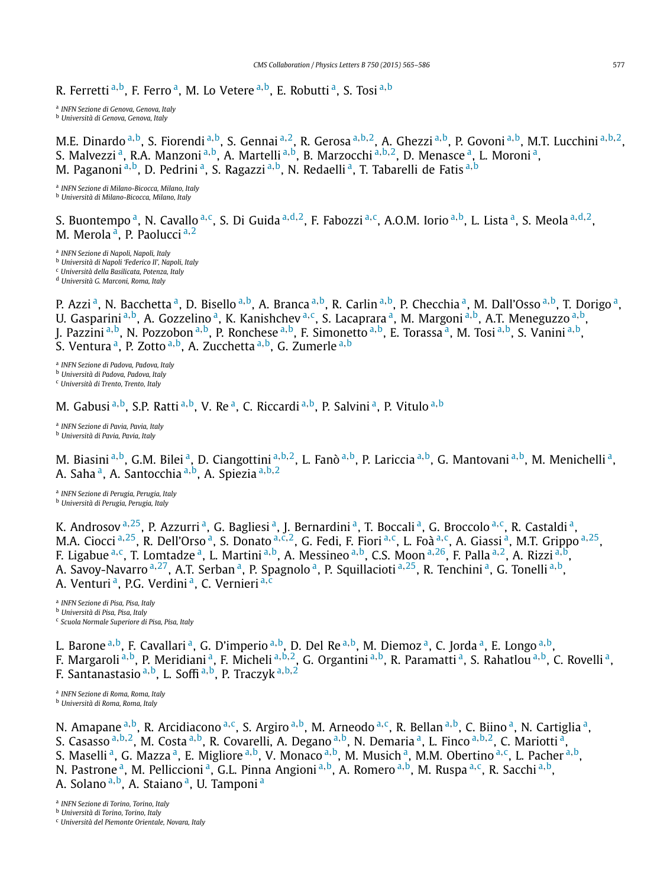# R. Ferretti <sup>a</sup>*,*b, F. Ferro a, M. Lo Vetere <sup>a</sup>*,*b, E. Robutti a, S. Tosi <sup>a</sup>*,*<sup>b</sup>

<sup>a</sup> *INFN Sezione di Genova, Genova, Italy* <sup>b</sup> *Università di Genova, Genova, Italy*

M.E. Dinardo <sup>a</sup>*,*b, S. Fiorendi <sup>a</sup>*,*b, S. Gennai <sup>a</sup>*,*[2,](#page-20-0) R. Gerosa <sup>a</sup>*,*b*,*[2](#page-20-0), A. Ghezzi <sup>a</sup>*,*b, P. Govoni <sup>a</sup>*,*b, M.T. Lucchini <sup>a</sup>*,*b*,*[2](#page-20-0), S. Malvezzi a, R.A. Manzoni <sup>a</sup>*,*b, A. Martelli <sup>a</sup>*,*b, B. Marzocchi <sup>a</sup>*,*b*,*[2,](#page-20-0) D. Menasce a, L. Moroni a, M. Paganoni<sup>a,b</sup>, D. Pedrini<sup>a</sup>, S. Ragazzi<sup>a,b</sup>, N. Redaelli<sup>a</sup>, T. Tabarelli de Fatis<sup>a,b</sup>

<sup>a</sup> *INFN Sezione di Milano-Bicocca, Milano, Italy*

<sup>b</sup> *Università di Milano-Bicocca, Milano, Italy*

S. Buontempo a, N. Cavallo <sup>a</sup>*,*c, S. Di Guida <sup>a</sup>*,*d*,*[2,](#page-20-0) F. Fabozzi <sup>a</sup>*,*c, A.O.M. Iorio <sup>a</sup>*,*b, L. Lista a, S. Meola <sup>a</sup>*,*d*,*[2,](#page-20-0) M. Merola<sup>a</sup>. P. Paolucci<sup>a, [2](#page-20-0)</sup>

<sup>a</sup> *INFN Sezione di Napoli, Napoli, Italy*

<sup>b</sup> *Università di Napoli 'Federico II', Napoli, Italy*

<sup>c</sup> *Università della Basilicata, Potenza, Italy*

<sup>d</sup> *Università G. Marconi, Roma, Italy*

P. Azzi a, N. Bacchetta a, D. Bisello <sup>a</sup>*,*b, A. Branca <sup>a</sup>*,*b, R. Carlin <sup>a</sup>*,*b, P. Checchia a, M. Dall'Osso <sup>a</sup>*,*b, T. Dorigo a, U. Gasparini <sup>a,b</sup>, A. Gozzelino <sup>a</sup>, K. Kanishchev <sup>a,c</sup>, S. Lacaprara <sup>a</sup>, M. Margoni <sup>a,b</sup>, A.T. Meneguzzo <sup>a,b</sup>, J. Pazzini <sup>a</sup>*,*b, N. Pozzobon <sup>a</sup>*,*b, P. Ronchese <sup>a</sup>*,*b, F. Simonetto <sup>a</sup>*,*b, E. Torassa a, M. Tosi <sup>a</sup>*,*b, S. Vanini <sup>a</sup>*,*b, S. Ventura a, P. Zotto <sup>a</sup>*,*b, A. Zucchetta <sup>a</sup>*,*b, G. Zumerle <sup>a</sup>*,*<sup>b</sup>

<sup>a</sup> *INFN Sezione di Padova, Padova, Italy*

<sup>b</sup> *Università di Padova, Padova, Italy*

<sup>c</sup> *Università di Trento, Trento, Italy*

M. Gabusi <sup>a</sup>*,*b, S.P. Ratti <sup>a</sup>*,*b, V. Re a, C. Riccardi <sup>a</sup>*,*b, P. Salvini a, P. Vitulo <sup>a</sup>*,*<sup>b</sup>

<sup>a</sup> *INFN Sezione di Pavia, Pavia, Italy* <sup>b</sup> *Università di Pavia, Pavia, Italy*

M. Biasini <sup>a</sup>*,*b, G.M. Bilei a, D. Ciangottini <sup>a</sup>*,*b*,*[2,](#page-20-0) L. Fanò <sup>a</sup>*,*b, P. Lariccia <sup>a</sup>*,*b, G. Mantovani <sup>a</sup>*,*b, M. Menichelli a, A. Saha a, A. Santocchia <sup>a</sup>*,*b, A. Spiezia <sup>a</sup>*,*b*,*[2](#page-20-0)

<sup>a</sup> *INFN Sezione di Perugia, Perugia, Italy*

<sup>b</sup> *Università di Perugia, Perugia, Italy*

K. Androsov a, [25,](#page-21-0) P. Azzurri <sup>a</sup>, G. Bagliesi <sup>a</sup>, J. Bernardini <sup>a</sup>, T. Boccali <sup>a</sup>, G. Broccolo a,c, R. Castaldi <sup>a</sup>, M.A. Ciocci <sup>a</sup>*,*[25](#page-21-0), R. Dell'Orso a, S. Donato <sup>a</sup>*,*c*,*[2,](#page-20-0) G. Fedi, F. Fiori <sup>a</sup>*,*c, L. Foà <sup>a</sup>*,*c, A. Giassi a, M.T. Grippo <sup>a</sup>*,*[25,](#page-21-0) F. Ligabue <sup>a</sup>*,*c, T. Lomtadze a, L. Martini <sup>a</sup>*,*b, A. Messineo <sup>a</sup>*,*b, C.S. Moon <sup>a</sup>*,*[26](#page-21-0), F. Palla <sup>a</sup>*,*[2,](#page-20-0) A. Rizzi <sup>a</sup>*,*b, A. Savoy-Navarro <sup>a, 27</sup>, A.T. Serban <sup>a</sup>, P. Spagnolo <sup>a</sup>, P. Squillacioti <sup>a, 25</sup>, R. Tenchini <sup>a</sup>, G. Tonelli <sup>a, b</sup>, A. Venturi a, P.G. Verdini a, C. Vernieri <sup>a</sup>*,*<sup>c</sup>

<sup>a</sup> *INFN Sezione di Pisa, Pisa, Italy*

<sup>b</sup> *Università di Pisa, Pisa, Italy*

<sup>c</sup> *Scuola Normale Superiore di Pisa, Pisa, Italy*

L. Barone a,b, F. Cavallari <sup>a</sup>, G. D'imperio <sup>a,b</sup>, D. Del Re a,b, M. Diemoz <sup>a</sup>, C. Jorda <sup>a</sup>, E. Longo <sup>a,b</sup>, F. Margaroli <sup>a</sup>*,*b, P. Meridiani a, F. Micheli <sup>a</sup>*,*b*,*[2](#page-20-0), G. Organtini <sup>a</sup>*,*b, R. Paramatti a, S. Rahatlou <sup>a</sup>*,*b, C. Rovelli a, F. Santanastasio <sup>a</sup>*,*b, L. Soffi <sup>a</sup>*,*b, P. Traczyk <sup>a</sup>*,*b*,*[2](#page-20-0)

<sup>a</sup> *INFN Sezione di Roma, Roma, Italy*

<sup>b</sup> *Università di Roma, Roma, Italy*

N. Amapane <sup>a</sup>*,*b, R. Arcidiacono <sup>a</sup>*,*c, S. Argiro <sup>a</sup>*,*b, M. Arneodo <sup>a</sup>*,*c, R. Bellan <sup>a</sup>*,*b, C. Biino a, N. Cartiglia a, S. Casasso <sup>a</sup>*,*b*,*[2,](#page-20-0) M. Costa <sup>a</sup>*,*b, R. Covarelli, A. Degano <sup>a</sup>*,*b, N. Demaria a, L. Finco <sup>a</sup>*,*b*,*[2,](#page-20-0) C. Mariotti a, S. Maselli a, G. Mazza a, E. Migliore <sup>a</sup>*,*b, V. Monaco <sup>a</sup>*,*b, M. Musich a, M.M. Obertino <sup>a</sup>*,*c, L. Pacher <sup>a</sup>*,*b, N. Pastrone a, M. Pelliccioni a, G.L. Pinna Angioni <sup>a</sup>*,*b, A. Romero <sup>a</sup>*,*b, M. Ruspa <sup>a</sup>*,*c, R. Sacchi <sup>a</sup>*,*b, A. Solano a, b, A. Staiano <sup>a</sup>, U. Tamponi<sup>a</sup>

<sup>a</sup> *INFN Sezione di Torino, Torino, Italy* <sup>b</sup> *Università di Torino, Torino, Italy*

<sup>c</sup> *Università del Piemonte Orientale, Novara, Italy*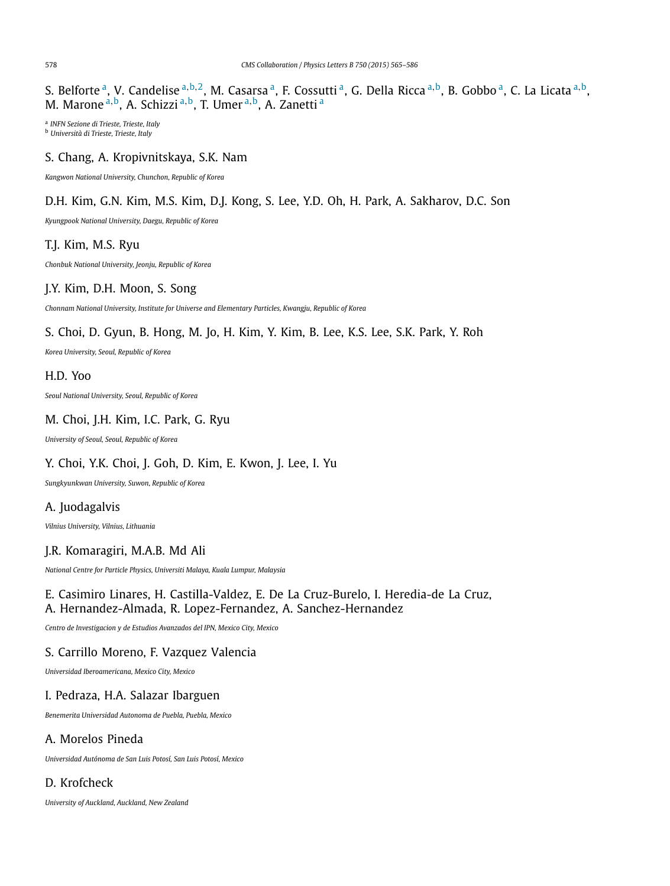# S. Belforte a, V. Candelise <sup>a</sup>*,*b*,*[2,](#page-20-0) M. Casarsa a, F. Cossutti a, G. Della Ricca <sup>a</sup>*,*b, B. Gobbo a, C. La Licata <sup>a</sup>*,*b, M. Marone <sup>a</sup>*,*b, A. Schizzi <sup>a</sup>*,*b, T. Umer <sup>a</sup>*,*b, A. Zanetti <sup>a</sup>

<sup>a</sup> *INFN Sezione di Trieste, Trieste, Italy* <sup>b</sup> *Università di Trieste, Trieste, Italy*

# S. Chang, A. Kropivnitskaya, S.K. Nam

*Kangwon National University, Chunchon, Republic of Korea*

# D.H. Kim, G.N. Kim, M.S. Kim, D.J. Kong, S. Lee, Y.D. Oh, H. Park, A. Sakharov, D.C. Son

*Kyungpook National University, Daegu, Republic of Korea*

# T.J. Kim, M.S. Ryu

*Chonbuk National University, Jeonju, Republic of Korea*

# J.Y. Kim, D.H. Moon, S. Song

*Chonnam National University, Institute for Universe and Elementary Particles, Kwangju, Republic of Korea*

# S. Choi, D. Gyun, B. Hong, M. Jo, H. Kim, Y. Kim, B. Lee, K.S. Lee, S.K. Park, Y. Roh

*Korea University, Seoul, Republic of Korea*

# H.D. Yoo

*Seoul National University, Seoul, Republic of Korea*

# M. Choi, J.H. Kim, I.C. Park, G. Ryu

*University of Seoul, Seoul, Republic of Korea*

# Y. Choi, Y.K. Choi, J. Goh, D. Kim, E. Kwon, J. Lee, I. Yu

*Sungkyunkwan University, Suwon, Republic of Korea*

# A. Juodagalvis

*Vilnius University, Vilnius, Lithuania*

# J.R. Komaragiri, M.A.B. Md Ali

*National Centre for Particle Physics, Universiti Malaya, Kuala Lumpur, Malaysia*

# E. Casimiro Linares, H. Castilla-Valdez, E. De La Cruz-Burelo, I. Heredia-de La Cruz, A. Hernandez-Almada, R. Lopez-Fernandez, A. Sanchez-Hernandez

*Centro de Investigacion y de Estudios Avanzados del IPN, Mexico City, Mexico*

# S. Carrillo Moreno, F. Vazquez Valencia

*Universidad Iberoamericana, Mexico City, Mexico*

# I. Pedraza, H.A. Salazar Ibarguen

*Benemerita Universidad Autonoma de Puebla, Puebla, Mexico*

# A. Morelos Pineda

*Universidad Autónoma de San Luis Potosí, San Luis Potosí, Mexico*

# D. Krofcheck

*University of Auckland, Auckland, New Zealand*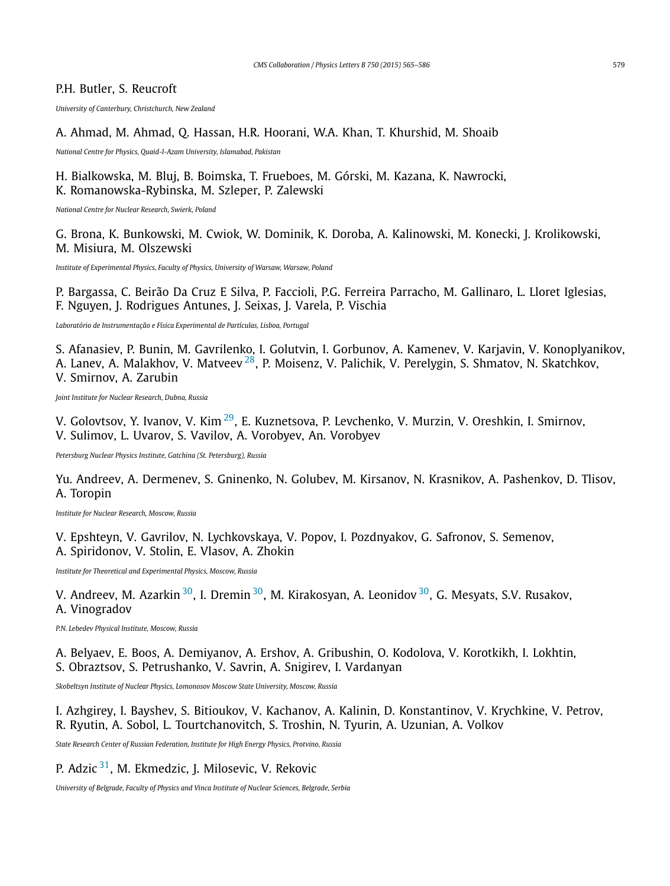## P.H. Butler, S. Reucroft

*University of Canterbury, Christchurch, New Zealand*

# A. Ahmad, M. Ahmad, Q. Hassan, H.R. Hoorani, W.A. Khan, T. Khurshid, M. Shoaib

*National Centre for Physics, Quaid-I-Azam University, Islamabad, Pakistan*

H. Bialkowska, M. Bluj, B. Boimska, T. Frueboes, M. Górski, M. Kazana, K. Nawrocki, K. Romanowska-Rybinska, M. Szleper, P. Zalewski

*National Centre for Nuclear Research, Swierk, Poland*

G. Brona, K. Bunkowski, M. Cwiok, W. Dominik, K. Doroba, A. Kalinowski, M. Konecki, J. Krolikowski, M. Misiura, M. Olszewski

*Institute of Experimental Physics, Faculty of Physics, University of Warsaw, Warsaw, Poland*

P. Bargassa, C. Beirão Da Cruz E Silva, P. Faccioli, P.G. Ferreira Parracho, M. Gallinaro, L. Lloret Iglesias, F. Nguyen, J. Rodrigues Antunes, J. Seixas, J. Varela, P. Vischia

*Laboratório de Instrumentação e Física Experimental de Partículas, Lisboa, Portugal*

S. Afanasiev, P. Bunin, M. Gavrilenko, I. Golutvin, I. Gorbunov, A. Kamenev, V. Karjavin, V. Konoplyanikov, A. Lanev, A. Malakhov, V. Matveev<sup>28</sup>, P. Moisenz, V. Palichik, V. Perelygin, S. Shmatov, N. Skatchkov, V. Smirnov, A. Zarubin

*Joint Institute for Nuclear Research, Dubna, Russia*

V. Golovtsov, Y. Ivanov, V. Kim [29,](#page-21-0) E. Kuznetsova, P. Levchenko, V. Murzin, V. Oreshkin, I. Smirnov, V. Sulimov, L. Uvarov, S. Vavilov, A. Vorobyev, An. Vorobyev

*Petersburg Nuclear Physics Institute, Gatchina (St. Petersburg), Russia*

Yu. Andreev, A. Dermenev, S. Gninenko, N. Golubev, M. Kirsanov, N. Krasnikov, A. Pashenkov, D. Tlisov, A. Toropin

*Institute for Nuclear Research, Moscow, Russia*

V. Epshteyn, V. Gavrilov, N. Lychkovskaya, V. Popov, I. Pozdnyakov, G. Safronov, S. Semenov, A. Spiridonov, V. Stolin, E. Vlasov, A. Zhokin

*Institute for Theoretical and Experimental Physics, Moscow, Russia*

V. Andreev, M. Azarkin <sup>[30](#page-21-0)</sup>, I. Dremin <sup>30</sup>, M. Kirakosyan, A. Leonidov <sup>30</sup>, G. Mesyats, S.V. Rusakov, A. Vinogradov

*P.N. Lebedev Physical Institute, Moscow, Russia*

A. Belyaev, E. Boos, A. Demiyanov, A. Ershov, A. Gribushin, O. Kodolova, V. Korotkikh, I. Lokhtin, S. Obraztsov, S. Petrushanko, V. Savrin, A. Snigirev, I. Vardanyan

*Skobeltsyn Institute of Nuclear Physics, Lomonosov Moscow State University, Moscow, Russia*

I. Azhgirey, I. Bayshev, S. Bitioukov, V. Kachanov, A. Kalinin, D. Konstantinov, V. Krychkine, V. Petrov, R. Ryutin, A. Sobol, L. Tourtchanovitch, S. Troshin, N. Tyurin, A. Uzunian, A. Volkov

*State Research Center of Russian Federation, Institute for High Energy Physics, Protvino, Russia*

P. Adzic<sup>31</sup>, M. Ekmedzic, J. Milosevic, V. Rekovic

*University of Belgrade, Faculty of Physics and Vinca Institute of Nuclear Sciences, Belgrade, Serbia*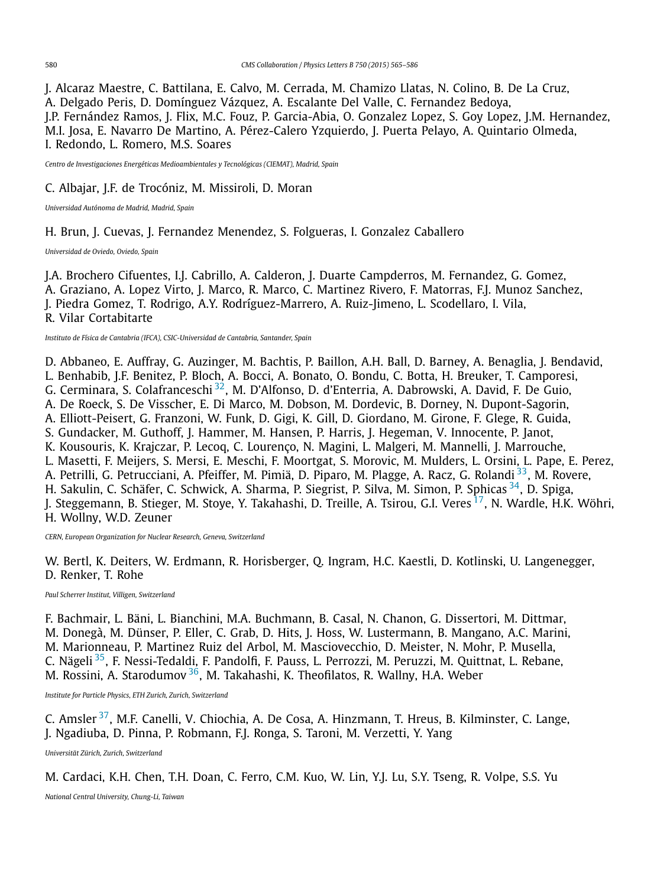J. Alcaraz Maestre, C. Battilana, E. Calvo, M. Cerrada, M. Chamizo Llatas, N. Colino, B. De La Cruz, A. Delgado Peris, D. Domínguez Vázquez, A. Escalante Del Valle, C. Fernandez Bedoya, J.P. Fernández Ramos, J. Flix, M.C. Fouz, P. Garcia-Abia, O. Gonzalez Lopez, S. Goy Lopez, J.M. Hernandez, M.I. Josa, E. Navarro De Martino, A. Pérez-Calero Yzquierdo, J. Puerta Pelayo, A. Quintario Olmeda, I. Redondo, L. Romero, M.S. Soares

*Centro de Investigaciones Energéticas Medioambientales y Tecnológicas (CIEMAT), Madrid, Spain*

# C. Albajar, J.F. de Trocóniz, M. Missiroli, D. Moran

*Universidad Autónoma de Madrid, Madrid, Spain*

# H. Brun, J. Cuevas, J. Fernandez Menendez, S. Folgueras, I. Gonzalez Caballero

*Universidad de Oviedo, Oviedo, Spain*

J.A. Brochero Cifuentes, I.J. Cabrillo, A. Calderon, J. Duarte Campderros, M. Fernandez, G. Gomez, A. Graziano, A. Lopez Virto, J. Marco, R. Marco, C. Martinez Rivero, F. Matorras, F.J. Munoz Sanchez, J. Piedra Gomez, T. Rodrigo, A.Y. Rodríguez-Marrero, A. Ruiz-Jimeno, L. Scodellaro, I. Vila, R. Vilar Cortabitarte

*Instituto de Física de Cantabria (IFCA), CSIC-Universidad de Cantabria, Santander, Spain*

D. Abbaneo, E. Auffray, G. Auzinger, M. Bachtis, P. Baillon, A.H. Ball, D. Barney, A. Benaglia, J. Bendavid, L. Benhabib, J.F. Benitez, P. Bloch, A. Bocci, A. Bonato, O. Bondu, C. Botta, H. Breuker, T. Camporesi, G. Cerminara, S. Colafranceschi [32,](#page-21-0) M. D'Alfonso, D. d'Enterria, A. Dabrowski, A. David, F. De Guio, A. De Roeck, S. De Visscher, E. Di Marco, M. Dobson, M. Dordevic, B. Dorney, N. Dupont-Sagorin, A. Elliott-Peisert, G. Franzoni, W. Funk, D. Gigi, K. Gill, D. Giordano, M. Girone, F. Glege, R. Guida, S. Gundacker, M. Guthoff, J. Hammer, M. Hansen, P. Harris, J. Hegeman, V. Innocente, P. Janot, K. Kousouris, K. Krajczar, P. Lecoq, C. Lourenço, N. Magini, L. Malgeri, M. Mannelli, J. Marrouche, L. Masetti, F. Meijers, S. Mersi, E. Meschi, F. Moortgat, S. Morovic, M. Mulders, L. Orsini, L. Pape, E. Perez, A. Petrilli, G. Petrucciani, A. Pfeiffer, M. Pimiä, D. Piparo, M. Plagge, A. Racz, G. Rolandi <sup>33</sup>, M. Rovere, H. Sakulin, C. Schäfer, C. Schwick, A. Sharma, P. Siegrist, P. Silva, M. Simon, P. Sphicas <sup>34</sup>, D. Spiga, J. Steggemann, B. Stieger, M. Stoye, Y. Takahashi, D. Treille, A. Tsirou, G.I. Veres [17,](#page-21-0) N. Wardle, H.K. Wöhri, H. Wollny, W.D. Zeuner

*CERN, European Organization for Nuclear Research, Geneva, Switzerland*

W. Bertl, K. Deiters, W. Erdmann, R. Horisberger, Q. Ingram, H.C. Kaestli, D. Kotlinski, U. Langenegger, D. Renker, T. Rohe

*Paul Scherrer Institut, Villigen, Switzerland*

F. Bachmair, L. Bäni, L. Bianchini, M.A. Buchmann, B. Casal, N. Chanon, G. Dissertori, M. Dittmar, M. Donegà, M. Dünser, P. Eller, C. Grab, D. Hits, J. Hoss, W. Lustermann, B. Mangano, A.C. Marini, M. Marionneau, P. Martinez Ruiz del Arbol, M. Masciovecchio, D. Meister, N. Mohr, P. Musella, C. Nägeli [35,](#page-21-0) F. Nessi-Tedaldi, F. Pandolfi, F. Pauss, L. Perrozzi, M. Peruzzi, M. Quittnat, L. Rebane, M. Rossini, A. Starodumov<sup>36</sup>, M. Takahashi, K. Theofilatos, R. Wallny, H.A. Weber

*Institute for Particle Physics, ETH Zurich, Zurich, Switzerland*

C. Amsler [37,](#page-21-0) M.F. Canelli, V. Chiochia, A. De Cosa, A. Hinzmann, T. Hreus, B. Kilminster, C. Lange, J. Ngadiuba, D. Pinna, P. Robmann, F.J. Ronga, S. Taroni, M. Verzetti, Y. Yang

*Universität Zürich, Zurich, Switzerland*

M. Cardaci, K.H. Chen, T.H. Doan, C. Ferro, C.M. Kuo, W. Lin, Y.J. Lu, S.Y. Tseng, R. Volpe, S.S. Yu

*National Central University, Chung-Li, Taiwan*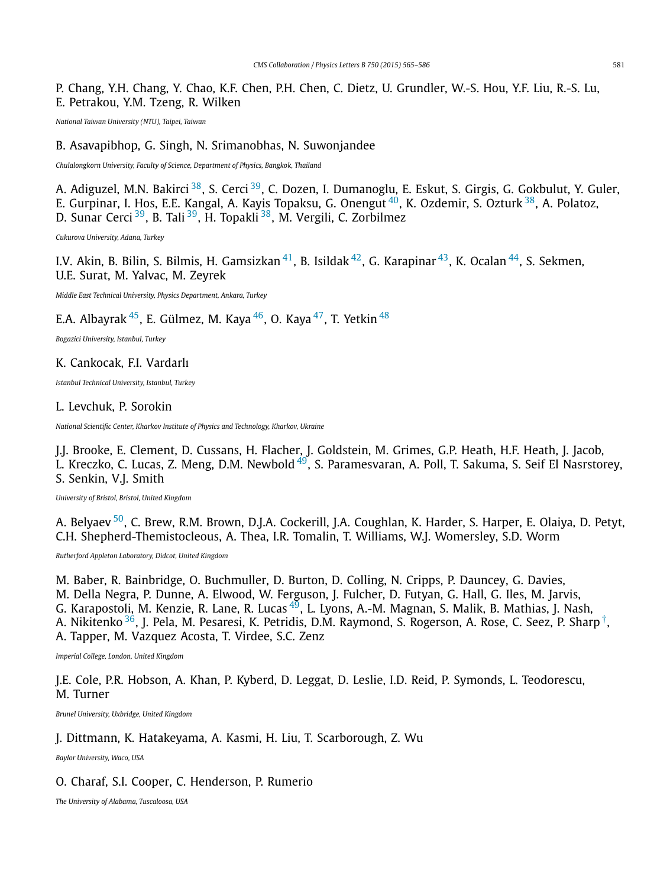P. Chang, Y.H. Chang, Y. Chao, K.F. Chen, P.H. Chen, C. Dietz, U. Grundler, W.-S. Hou, Y.F. Liu, R.-S. Lu, E. Petrakou, Y.M. Tzeng, R. Wilken

*National Taiwan University (NTU), Taipei, Taiwan*

# B. Asavapibhop, G. Singh, N. Srimanobhas, N. Suwonjandee

*Chulalongkorn University, Faculty of Science, Department of Physics, Bangkok, Thailand*

A. Adiguzel, M.N. Bakirci <sup>38</sup>, S. Cerci <sup>39</sup>, C. Dozen, I. Dumanoglu, E. Eskut, S. Girgis, G. Gokbulut, Y. Guler, E. Gurpinar, I. Hos, E.E. Kangal, A. Kayis Topaksu, G. Onengut <sup>40</sup>, K. Ozdemir, S. Ozturk <sup>38</sup>, A. Polatoz, D. Sunar Cerci [39,](#page-21-0) B. Tali [39,](#page-21-0) H. Topakli [38,](#page-21-0) M. Vergili, C. Zorbilmez

*Cukurova University, Adana, Turkey*

I.V. Akin, B. Bilin, S. Bilmis, H. Gamsizkan  $^{41}$ , B. Isildak  $^{42}$ , G. Karapinar  $^{43}$ , K. Ocalan  $^{44}$ , S. Sekmen, U.E. Surat, M. Yalvac, M. Zeyrek

*Middle East Technical University, Physics Department, Ankara, Turkey*

# E.A. Albayrak  $45$ , E. Gülmez, M. Kaya  $46$ , O. Kaya  $47$ , T. Yetkin  $48$

*Bogazici University, Istanbul, Turkey*

### K. Cankocak, F.I. Vardarlı

*Istanbul Technical University, Istanbul, Turkey*

#### L. Levchuk, P. Sorokin

*National Scientific Center, Kharkov Institute of Physics and Technology, Kharkov, Ukraine*

J.J. Brooke, E. Clement, D. Cussans, H. Flacher, J. Goldstein, M. Grimes, G.P. Heath, H.F. Heath, J. Jacob, L. Kreczko, C. Lucas, Z. Meng, D.M. Newbold <sup>49</sup>, S. Paramesvaran, A. Poll, T. Sakuma, S. Seif El Nasrstorey, S. Senkin, V.J. Smith

*University of Bristol, Bristol, United Kingdom*

A. Belyaev [50,](#page-21-0) C. Brew, R.M. Brown, D.J.A. Cockerill, J.A. Coughlan, K. Harder, S. Harper, E. Olaiya, D. Petyt, C.H. Shepherd-Themistocleous, A. Thea, I.R. Tomalin, T. Williams, W.J. Womersley, S.D. Worm

*Rutherford Appleton Laboratory, Didcot, United Kingdom*

M. Baber, R. Bainbridge, O. Buchmuller, D. Burton, D. Colling, N. Cripps, P. Dauncey, G. Davies, M. Della Negra, P. Dunne, A. Elwood, W. Ferguson, J. Fulcher, D. Futyan, G. Hall, G. Iles, M. Jarvis, G. Karapostoli, M. Kenzie, R. Lane, R. Lucas<sup>49</sup>, L. Lyons, A.-M. Magnan, S. Malik, B. Mathias, J. Nash, A. Nikitenko <sup>36</sup>, J. Pela, M. Pesaresi, K. Petridis, D.M. Raymond, S. Rogerson, A. Rose, C. Seez, P. Sharp<sup>†</sup>, A. Tapper, M. Vazquez Acosta, T. Virdee, S.C. Zenz

*Imperial College, London, United Kingdom*

J.E. Cole, P.R. Hobson, A. Khan, P. Kyberd, D. Leggat, D. Leslie, I.D. Reid, P. Symonds, L. Teodorescu, M. Turner

*Brunel University, Uxbridge, United Kingdom*

# J. Dittmann, K. Hatakeyama, A. Kasmi, H. Liu, T. Scarborough, Z. Wu

*Baylor University, Waco, USA*

O. Charaf, S.I. Cooper, C. Henderson, P. Rumerio

*The University of Alabama, Tuscaloosa, USA*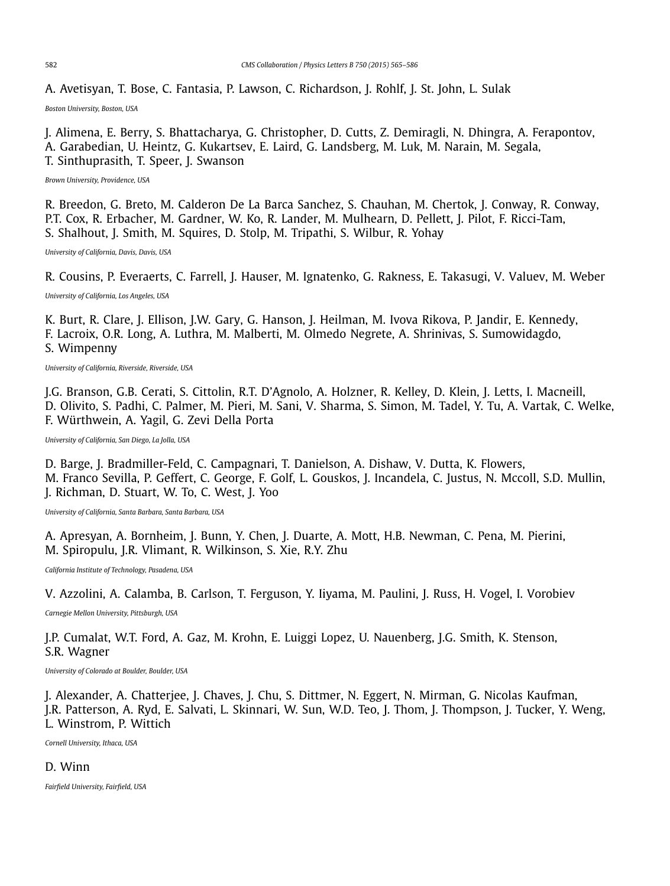# A. Avetisyan, T. Bose, C. Fantasia, P. Lawson, C. Richardson, J. Rohlf, J. St. John, L. Sulak

*Boston University, Boston, USA*

J. Alimena, E. Berry, S. Bhattacharya, G. Christopher, D. Cutts, Z. Demiragli, N. Dhingra, A. Ferapontov, A. Garabedian, U. Heintz, G. Kukartsev, E. Laird, G. Landsberg, M. Luk, M. Narain, M. Segala, T. Sinthuprasith, T. Speer, J. Swanson

*Brown University, Providence, USA*

R. Breedon, G. Breto, M. Calderon De La Barca Sanchez, S. Chauhan, M. Chertok, J. Conway, R. Conway, P.T. Cox, R. Erbacher, M. Gardner, W. Ko, R. Lander, M. Mulhearn, D. Pellett, J. Pilot, F. Ricci-Tam, S. Shalhout, J. Smith, M. Squires, D. Stolp, M. Tripathi, S. Wilbur, R. Yohay

*University of California, Davis, Davis, USA*

R. Cousins, P. Everaerts, C. Farrell, J. Hauser, M. Ignatenko, G. Rakness, E. Takasugi, V. Valuev, M. Weber

*University of California, Los Angeles, USA*

K. Burt, R. Clare, J. Ellison, J.W. Gary, G. Hanson, J. Heilman, M. Ivova Rikova, P. Jandir, E. Kennedy, F. Lacroix, O.R. Long, A. Luthra, M. Malberti, M. Olmedo Negrete, A. Shrinivas, S. Sumowidagdo, S. Wimpenny

*University of California, Riverside, Riverside, USA*

J.G. Branson, G.B. Cerati, S. Cittolin, R.T. D'Agnolo, A. Holzner, R. Kelley, D. Klein, J. Letts, I. Macneill, D. Olivito, S. Padhi, C. Palmer, M. Pieri, M. Sani, V. Sharma, S. Simon, M. Tadel, Y. Tu, A. Vartak, C. Welke, F. Würthwein, A. Yagil, G. Zevi Della Porta

*University of California, San Diego, La Jolla, USA*

D. Barge, J. Bradmiller-Feld, C. Campagnari, T. Danielson, A. Dishaw, V. Dutta, K. Flowers, M. Franco Sevilla, P. Geffert, C. George, F. Golf, L. Gouskos, J. Incandela, C. Justus, N. Mccoll, S.D. Mullin, J. Richman, D. Stuart, W. To, C. West, J. Yoo

*University of California, Santa Barbara, Santa Barbara, USA*

A. Apresyan, A. Bornheim, J. Bunn, Y. Chen, J. Duarte, A. Mott, H.B. Newman, C. Pena, M. Pierini, M. Spiropulu, J.R. Vlimant, R. Wilkinson, S. Xie, R.Y. Zhu

*California Institute of Technology, Pasadena, USA*

V. Azzolini, A. Calamba, B. Carlson, T. Ferguson, Y. Iiyama, M. Paulini, J. Russ, H. Vogel, I. Vorobiev

*Carnegie Mellon University, Pittsburgh, USA*

J.P. Cumalat, W.T. Ford, A. Gaz, M. Krohn, E. Luiggi Lopez, U. Nauenberg, J.G. Smith, K. Stenson, S.R. Wagner

*University of Colorado at Boulder, Boulder, USA*

J. Alexander, A. Chatterjee, J. Chaves, J. Chu, S. Dittmer, N. Eggert, N. Mirman, G. Nicolas Kaufman, J.R. Patterson, A. Ryd, E. Salvati, L. Skinnari, W. Sun, W.D. Teo, J. Thom, J. Thompson, J. Tucker, Y. Weng, L. Winstrom, P. Wittich

*Cornell University, Ithaca, USA*

D. Winn

*Fairfield University, Fairfield, USA*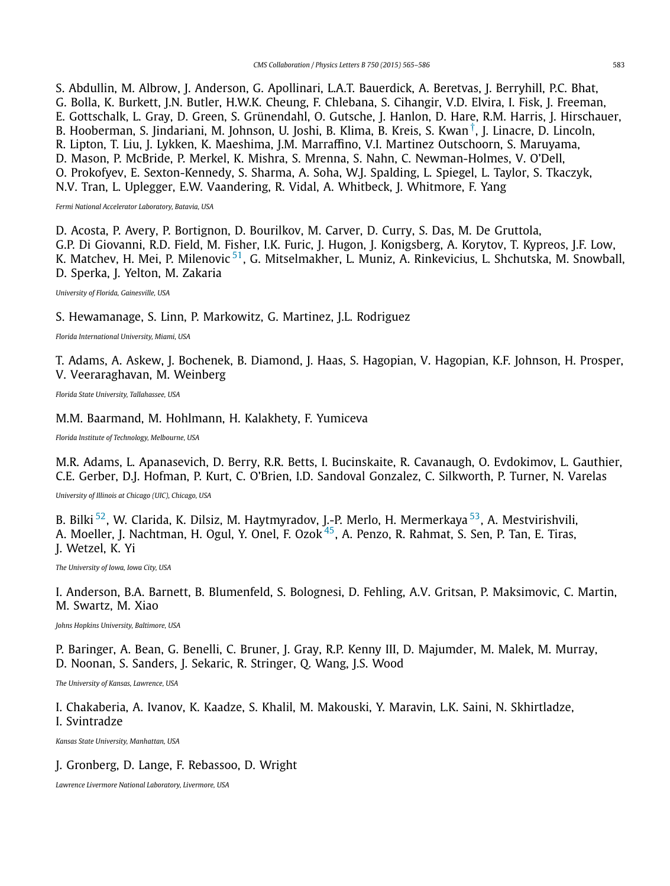S. Abdullin, M. Albrow, J. Anderson, G. Apollinari, L.A.T. Bauerdick, A. Beretvas, J. Berryhill, P.C. Bhat, G. Bolla, K. Burkett, J.N. Butler, H.W.K. Cheung, F. Chlebana, S. Cihangir, V.D. Elvira, I. Fisk, J. Freeman, E. Gottschalk, L. Gray, D. Green, S. Grünendahl, O. Gutsche, J. Hanlon, D. Hare, R.M. Harris, J. Hirschauer, B. Hooberman, S. Jindariani, M. Johnson, U. Joshi, B. Klima, B. Kreis, S. Kwan [†,](#page-20-0) J. Linacre, D. Lincoln, R. Lipton, T. Liu, J. Lykken, K. Maeshima, J.M. Marraffino, V.I. Martinez Outschoorn, S. Maruyama, D. Mason, P. McBride, P. Merkel, K. Mishra, S. Mrenna, S. Nahn, C. Newman-Holmes, V. O'Dell, O. Prokofyev, E. Sexton-Kennedy, S. Sharma, A. Soha, W.J. Spalding, L. Spiegel, L. Taylor, S. Tkaczyk, N.V. Tran, L. Uplegger, E.W. Vaandering, R. Vidal, A. Whitbeck, J. Whitmore, F. Yang

*Fermi National Accelerator Laboratory, Batavia, USA*

D. Acosta, P. Avery, P. Bortignon, D. Bourilkov, M. Carver, D. Curry, S. Das, M. De Gruttola, G.P. Di Giovanni, R.D. Field, M. Fisher, I.K. Furic, J. Hugon, J. Konigsberg, A. Korytov, T. Kypreos, J.F. Low, K. Matchev, H. Mei, P. Milenovic<sup>51</sup>, G. Mitselmakher, L. Muniz, A. Rinkevicius, L. Shchutska, M. Snowball, D. Sperka, J. Yelton, M. Zakaria

*University of Florida, Gainesville, USA*

S. Hewamanage, S. Linn, P. Markowitz, G. Martinez, J.L. Rodriguez

*Florida International University, Miami, USA*

T. Adams, A. Askew, J. Bochenek, B. Diamond, J. Haas, S. Hagopian, V. Hagopian, K.F. Johnson, H. Prosper, V. Veeraraghavan, M. Weinberg

*Florida State University, Tallahassee, USA*

M.M. Baarmand, M. Hohlmann, H. Kalakhety, F. Yumiceva

*Florida Institute of Technology, Melbourne, USA*

M.R. Adams, L. Apanasevich, D. Berry, R.R. Betts, I. Bucinskaite, R. Cavanaugh, O. Evdokimov, L. Gauthier, C.E. Gerber, D.J. Hofman, P. Kurt, C. O'Brien, I.D. Sandoval Gonzalez, C. Silkworth, P. Turner, N. Varelas

*University of Illinois at Chicago (UIC), Chicago, USA*

B. Bilki [52,](#page-21-0) W. Clarida, K. Dilsiz, M. Haytmyradov, J.-P. Merlo, H. Mermerkaya [53,](#page-21-0) A. Mestvirishvili, A. Moeller, J. Nachtman, H. Ogul, Y. Onel, F. Ozok<sup>45</sup>, A. Penzo, R. Rahmat, S. Sen, P. Tan, E. Tiras, J. Wetzel, K. Yi

*The University of Iowa, Iowa City, USA*

I. Anderson, B.A. Barnett, B. Blumenfeld, S. Bolognesi, D. Fehling, A.V. Gritsan, P. Maksimovic, C. Martin, M. Swartz, M. Xiao

*Johns Hopkins University, Baltimore, USA*

P. Baringer, A. Bean, G. Benelli, C. Bruner, J. Gray, R.P. Kenny III, D. Majumder, M. Malek, M. Murray, D. Noonan, S. Sanders, J. Sekaric, R. Stringer, Q. Wang, J.S. Wood

*The University of Kansas, Lawrence, USA*

I. Chakaberia, A. Ivanov, K. Kaadze, S. Khalil, M. Makouski, Y. Maravin, L.K. Saini, N. Skhirtladze, I. Svintradze

*Kansas State University, Manhattan, USA*

J. Gronberg, D. Lange, F. Rebassoo, D. Wright

*Lawrence Livermore National Laboratory, Livermore, USA*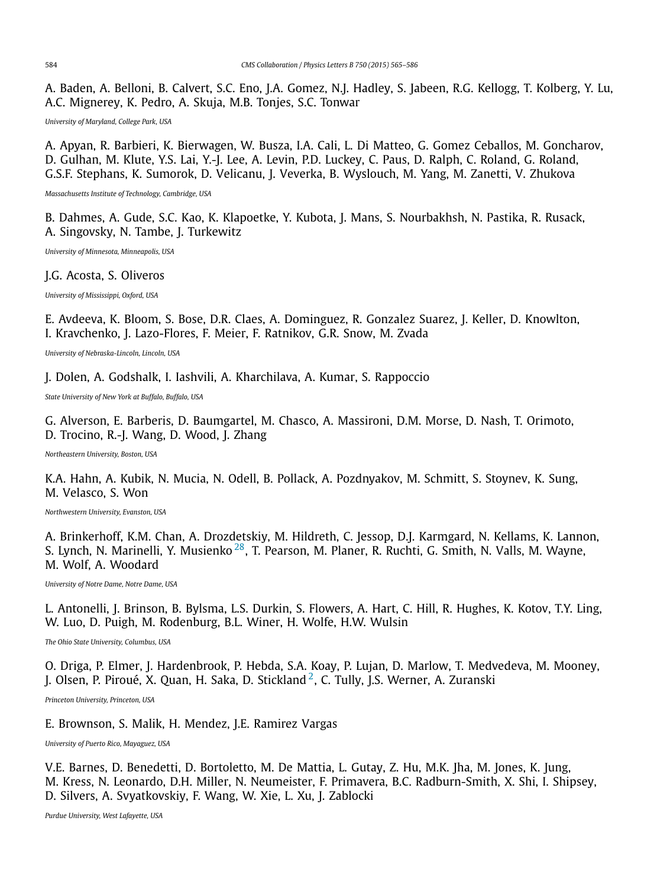A. Baden, A. Belloni, B. Calvert, S.C. Eno, J.A. Gomez, N.J. Hadley, S. Jabeen, R.G. Kellogg, T. Kolberg, Y. Lu, A.C. Mignerey, K. Pedro, A. Skuja, M.B. Tonjes, S.C. Tonwar

*University of Maryland, College Park, USA*

A. Apyan, R. Barbieri, K. Bierwagen, W. Busza, I.A. Cali, L. Di Matteo, G. Gomez Ceballos, M. Goncharov, D. Gulhan, M. Klute, Y.S. Lai, Y.-J. Lee, A. Levin, P.D. Luckey, C. Paus, D. Ralph, C. Roland, G. Roland, G.S.F. Stephans, K. Sumorok, D. Velicanu, J. Veverka, B. Wyslouch, M. Yang, M. Zanetti, V. Zhukova

*Massachusetts Institute of Technology, Cambridge, USA*

B. Dahmes, A. Gude, S.C. Kao, K. Klapoetke, Y. Kubota, J. Mans, S. Nourbakhsh, N. Pastika, R. Rusack, A. Singovsky, N. Tambe, J. Turkewitz

*University of Minnesota, Minneapolis, USA*

J.G. Acosta, S. Oliveros

*University of Mississippi, Oxford, USA*

E. Avdeeva, K. Bloom, S. Bose, D.R. Claes, A. Dominguez, R. Gonzalez Suarez, J. Keller, D. Knowlton, I. Kravchenko, J. Lazo-Flores, F. Meier, F. Ratnikov, G.R. Snow, M. Zvada

*University of Nebraska-Lincoln, Lincoln, USA*

J. Dolen, A. Godshalk, I. Iashvili, A. Kharchilava, A. Kumar, S. Rappoccio

*State University of New York at Buffalo, Buffalo, USA*

G. Alverson, E. Barberis, D. Baumgartel, M. Chasco, A. Massironi, D.M. Morse, D. Nash, T. Orimoto, D. Trocino, R.-J. Wang, D. Wood, J. Zhang

*Northeastern University, Boston, USA*

K.A. Hahn, A. Kubik, N. Mucia, N. Odell, B. Pollack, A. Pozdnyakov, M. Schmitt, S. Stoynev, K. Sung, M. Velasco, S. Won

*Northwestern University, Evanston, USA*

A. Brinkerhoff, K.M. Chan, A. Drozdetskiy, M. Hildreth, C. Jessop, D.J. Karmgard, N. Kellams, K. Lannon, S. Lynch, N. Marinelli, Y. Musienko [28,](#page-21-0) T. Pearson, M. Planer, R. Ruchti, G. Smith, N. Valls, M. Wayne, M. Wolf, A. Woodard

*University of Notre Dame, Notre Dame, USA*

L. Antonelli, J. Brinson, B. Bylsma, L.S. Durkin, S. Flowers, A. Hart, C. Hill, R. Hughes, K. Kotov, T.Y. Ling, W. Luo, D. Puigh, M. Rodenburg, B.L. Winer, H. Wolfe, H.W. Wulsin

*The Ohio State University, Columbus, USA*

O. Driga, P. Elmer, J. Hardenbrook, P. Hebda, S.A. Koay, P. Lujan, D. Marlow, T. Medvedeva, M. Mooney, J. Olsen, P. Piroué, X. Quan, H. Saka, D. Stickland<sup>2</sup>, C. Tully, J.S. Werner, A. Zuranski

*Princeton University, Princeton, USA*

E. Brownson, S. Malik, H. Mendez, J.E. Ramirez Vargas

*University of Puerto Rico, Mayaguez, USA*

V.E. Barnes, D. Benedetti, D. Bortoletto, M. De Mattia, L. Gutay, Z. Hu, M.K. Jha, M. Jones, K. Jung, M. Kress, N. Leonardo, D.H. Miller, N. Neumeister, F. Primavera, B.C. Radburn-Smith, X. Shi, I. Shipsey, D. Silvers, A. Svyatkovskiy, F. Wang, W. Xie, L. Xu, J. Zablocki

*Purdue University, West Lafayette, USA*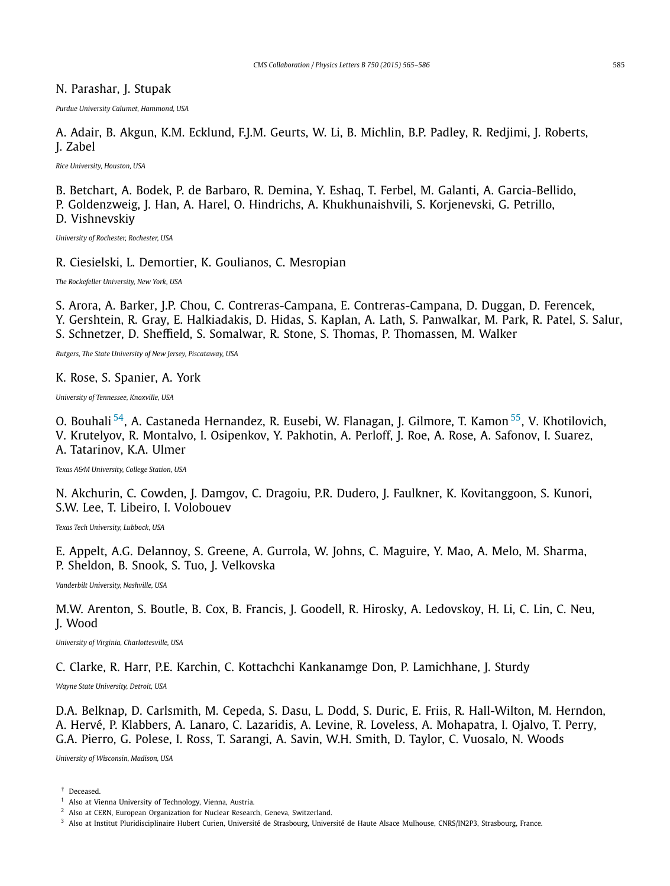# <span id="page-20-0"></span>N. Parashar, J. Stupak

*Purdue University Calumet, Hammond, USA*

A. Adair, B. Akgun, K.M. Ecklund, F.J.M. Geurts, W. Li, B. Michlin, B.P. Padley, R. Redjimi, J. Roberts, J. Zabel

*Rice University, Houston, USA*

B. Betchart, A. Bodek, P. de Barbaro, R. Demina, Y. Eshaq, T. Ferbel, M. Galanti, A. Garcia-Bellido, P. Goldenzweig, J. Han, A. Harel, O. Hindrichs, A. Khukhunaishvili, S. Korjenevski, G. Petrillo, D. Vishnevskiy

*University of Rochester, Rochester, USA*

R. Ciesielski, L. Demortier, K. Goulianos, C. Mesropian

*The Rockefeller University, New York, USA*

S. Arora, A. Barker, J.P. Chou, C. Contreras-Campana, E. Contreras-Campana, D. Duggan, D. Ferencek, Y. Gershtein, R. Gray, E. Halkiadakis, D. Hidas, S. Kaplan, A. Lath, S. Panwalkar, M. Park, R. Patel, S. Salur, S. Schnetzer, D. Sheffield, S. Somalwar, R. Stone, S. Thomas, P. Thomassen, M. Walker

*Rutgers, The State University of New Jersey, Piscataway, USA*

K. Rose, S. Spanier, A. York

*University of Tennessee, Knoxville, USA*

O. Bouhali [54](#page-21-0), A. Castaneda Hernandez, R. Eusebi, W. Flanagan, J. Gilmore, T. Kamon [55,](#page-21-0) V. Khotilovich, V. Krutelyov, R. Montalvo, I. Osipenkov, Y. Pakhotin, A. Perloff, J. Roe, A. Rose, A. Safonov, I. Suarez, A. Tatarinov, K.A. Ulmer

*Texas A&M University, College Station, USA*

N. Akchurin, C. Cowden, J. Damgov, C. Dragoiu, P.R. Dudero, J. Faulkner, K. Kovitanggoon, S. Kunori, S.W. Lee, T. Libeiro, I. Volobouev

*Texas Tech University, Lubbock, USA*

E. Appelt, A.G. Delannoy, S. Greene, A. Gurrola, W. Johns, C. Maguire, Y. Mao, A. Melo, M. Sharma, P. Sheldon, B. Snook, S. Tuo, J. Velkovska

*Vanderbilt University, Nashville, USA*

M.W. Arenton, S. Boutle, B. Cox, B. Francis, J. Goodell, R. Hirosky, A. Ledovskoy, H. Li, C. Lin, C. Neu, J. Wood

*University of Virginia, Charlottesville, USA*

C. Clarke, R. Harr, P.E. Karchin, C. Kottachchi Kankanamge Don, P. Lamichhane, J. Sturdy

*Wayne State University, Detroit, USA*

D.A. Belknap, D. Carlsmith, M. Cepeda, S. Dasu, L. Dodd, S. Duric, E. Friis, R. Hall-Wilton, M. Herndon, A. Hervé, P. Klabbers, A. Lanaro, C. Lazaridis, A. Levine, R. Loveless, A. Mohapatra, I. Ojalvo, T. Perry, G.A. Pierro, G. Polese, I. Ross, T. Sarangi, A. Savin, W.H. Smith, D. Taylor, C. Vuosalo, N. Woods

*University of Wisconsin, Madison, USA*

† Deceased.

<sup>1</sup> Also at Vienna University of Technology, Vienna, Austria.

<sup>&</sup>lt;sup>2</sup> Also at CERN, European Organization for Nuclear Research, Geneva, Switzerland.

<sup>3</sup> Also at Institut Pluridisciplinaire Hubert Curien, Université de Strasbourg, Université de Haute Alsace Mulhouse, CNRS/IN2P3, Strasbourg, France.